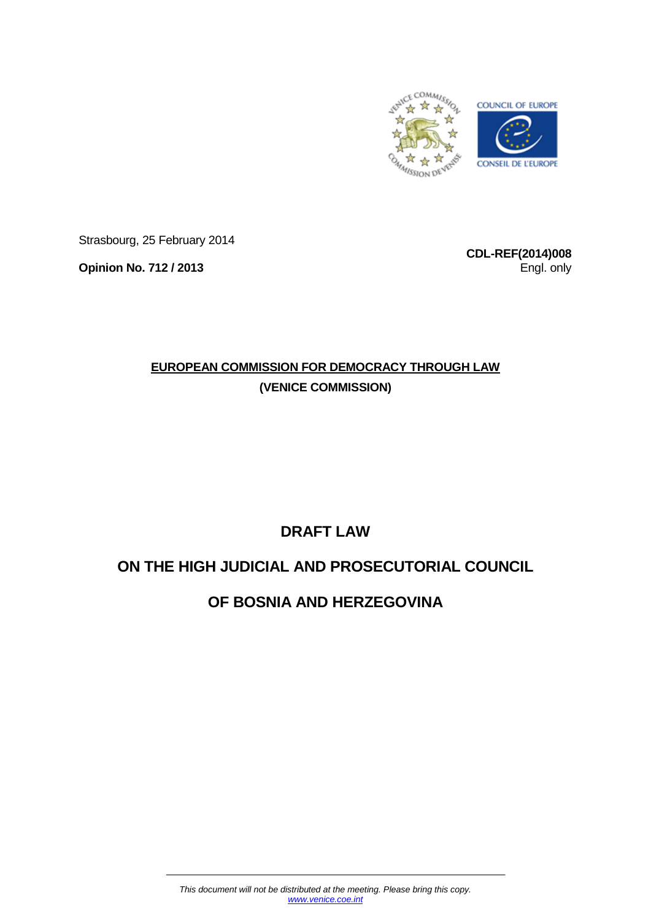

Strasbourg, 25 February 2014

**Opinion No. 712 / 2013**

**CDL-REF(2014)008** Engl. only

# **EUROPEAN COMMISSION FOR DEMOCRACY THROUGH LAW (VENICE COMMISSION)**

# **DRAFT LAW**

# **ON THE HIGH JUDICIAL AND PROSECUTORIAL COUNCIL**

# **OF BOSNIA AND HERZEGOVINA**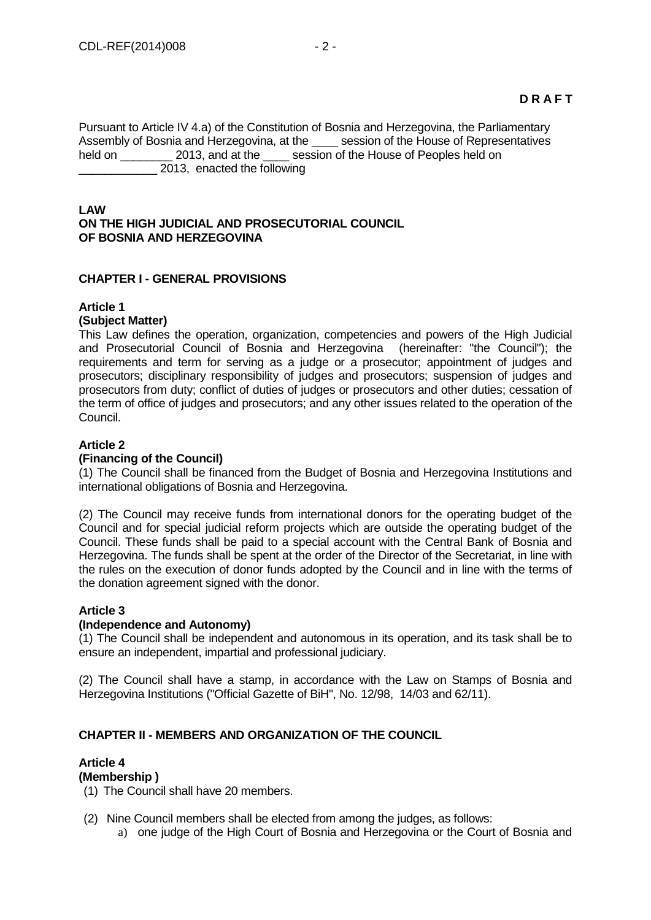Pursuant to Article IV 4.a) of the Constitution of Bosnia and Herzegovina, the Parliamentary Assembly of Bosnia and Herzegovina, at the \_\_\_\_ session of the House of Representatives held on \_\_\_\_\_\_\_\_ 2013, and at the \_\_\_\_ session of the House of Peoples held on \_\_\_\_\_\_\_\_\_\_\_\_ 2013, enacted the following

### **LAW ON THE HIGH JUDICIAL AND PROSECUTORIAL COUNCIL OF BOSNIA AND HERZEGOVINA**

# **CHAPTER I - GENERAL PROVISIONS**

### **Article 1 (Subject Matter)**

This Law defines the operation, organization, competencies and powers of the High Judicial and Prosecutorial Council of Bosnia and Herzegovina (hereinafter: "the Council"); the requirements and term for serving as a judge or a prosecutor; appointment of judges and prosecutors; disciplinary responsibility of judges and prosecutors; suspension of judges and prosecutors from duty; conflict of duties of judges or prosecutors and other duties; cessation of the term of office of judges and prosecutors; and any other issues related to the operation of the Council.

# **Article 2**

### **(Financing of the Council)**

(1) The Council shall be financed from the Budget of Bosnia and Herzegovina Institutions and international obligations of Bosnia and Herzegovina.

(2) The Council may receive funds from international donors for the operating budget of the Council and for special judicial reform projects which are outside the operating budget of the Council. These funds shall be paid to a special account with the Central Bank of Bosnia and Herzegovina. The funds shall be spent at the order of the Director of the Secretariat, in line with the rules on the execution of donor funds adopted by the Council and in line with the terms of the donation agreement signed with the donor.

# **Article 3**

### **(Independence and Autonomy)**

(1) The Council shall be independent and autonomous in its operation, and its task shall be to ensure an independent, impartial and professional judiciary.

(2) The Council shall have a stamp, in accordance with the Law on Stamps of Bosnia and Herzegovina Institutions ("Official Gazette of BiH", No. 12/98, 14/03 and 62/11).

# **CHAPTER II - MEMBERS AND ORGANIZATION OF THE COUNCIL**

# **Article 4**

# **(Membership )**

(1) The Council shall have 20 members.

(2) Nine Council members shall be elected from among the judges, as follows:

a) one judge of the High Court of Bosnia and Herzegovina or the Court of Bosnia and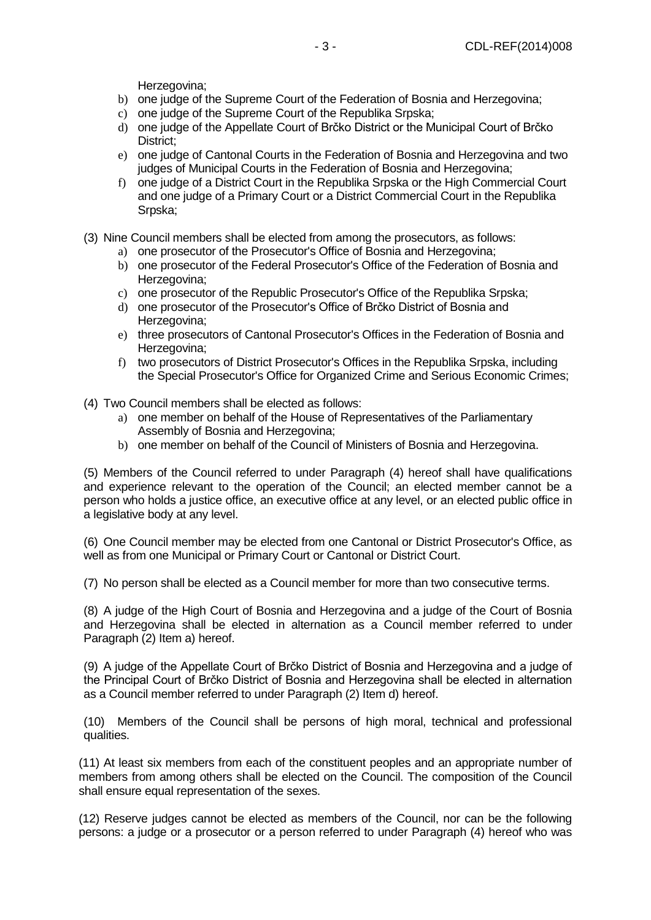Herzegovina;

- b) one judge of the Supreme Court of the Federation of Bosnia and Herzegovina;
- c) one judge of the Supreme Court of the Republika Srpska;
- d) one judge of the Appellate Court of Brčko District or the Municipal Court of Brčko District;
- e) one judge of Cantonal Courts in the Federation of Bosnia and Herzegovina and two judges of Municipal Courts in the Federation of Bosnia and Herzegovina;
- f) one judge of a District Court in the Republika Srpska or the High Commercial Court and one judge of a Primary Court or a District Commercial Court in the Republika Srpska;
- (3) Nine Council members shall be elected from among the prosecutors, as follows:
	- a) one prosecutor of the Prosecutor's Office of Bosnia and Herzegovina;
	- b) one prosecutor of the Federal Prosecutor's Office of the Federation of Bosnia and Herzegovina;
	- c) one prosecutor of the Republic Prosecutor's Office of the Republika Srpska;
	- d) one prosecutor of the Prosecutor's Office of Brčko District of Bosnia and Herzegovina:
	- e) three prosecutors of Cantonal Prosecutor's Offices in the Federation of Bosnia and Herzegovina:
	- f) two prosecutors of District Prosecutor's Offices in the Republika Srpska, including the Special Prosecutor's Office for Organized Crime and Serious Economic Crimes;
- (4) Two Council members shall be elected as follows:
	- a) one member on behalf of the House of Representatives of the Parliamentary Assembly of Bosnia and Herzegovina;
	- b) one member on behalf of the Council of Ministers of Bosnia and Herzegovina.

(5) Members of the Council referred to under Paragraph (4) hereof shall have qualifications and experience relevant to the operation of the Council; an elected member cannot be a person who holds a justice office, an executive office at any level, or an elected public office in a legislative body at any level.

(6) One Council member may be elected from one Cantonal or District Prosecutor's Office, as well as from one Municipal or Primary Court or Cantonal or District Court.

(7) No person shall be elected as a Council member for more than two consecutive terms.

(8) A judge of the High Court of Bosnia and Herzegovina and a judge of the Court of Bosnia and Herzegovina shall be elected in alternation as a Council member referred to under Paragraph (2) Item a) hereof.

(9) A judge of the Appellate Court of Brčko District of Bosnia and Herzegovina and a judge of the Principal Court of Brčko District of Bosnia and Herzegovina shall be elected in alternation as a Council member referred to under Paragraph (2) Item d) hereof.

(10) Members of the Council shall be persons of high moral, technical and professional qualities.

(11) At least six members from each of the constituent peoples and an appropriate number of members from among others shall be elected on the Council. The composition of the Council shall ensure equal representation of the sexes.

(12) Reserve judges cannot be elected as members of the Council, nor can be the following persons: a judge or a prosecutor or a person referred to under Paragraph (4) hereof who was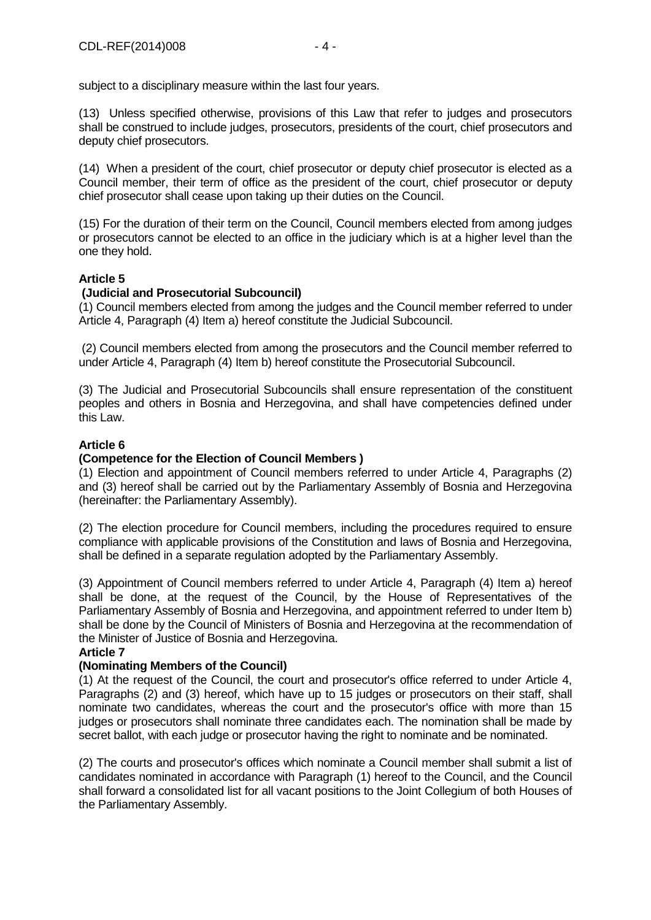subject to a disciplinary measure within the last four years.

(13) Unless specified otherwise, provisions of this Law that refer to judges and prosecutors shall be construed to include judges, prosecutors, presidents of the court, chief prosecutors and deputy chief prosecutors.

(14) When a president of the court, chief prosecutor or deputy chief prosecutor is elected as a Council member, their term of office as the president of the court, chief prosecutor or deputy chief prosecutor shall cease upon taking up their duties on the Council.

(15) For the duration of their term on the Council, Council members elected from among judges or prosecutors cannot be elected to an office in the judiciary which is at a higher level than the one they hold.

# **Article 5**

# **(Judicial and Prosecutorial Subcouncil)**

(1) Council members elected from among the judges and the Council member referred to under Article 4, Paragraph (4) Item a) hereof constitute the Judicial Subcouncil.

(2) Council members elected from among the prosecutors and the Council member referred to under Article 4, Paragraph (4) Item b) hereof constitute the Prosecutorial Subcouncil.

(3) The Judicial and Prosecutorial Subcouncils shall ensure representation of the constituent peoples and others in Bosnia and Herzegovina, and shall have competencies defined under this Law.

### **Article 6**

### **(Competence for the Election of Council Members )**

(1) Election and appointment of Council members referred to under Article 4, Paragraphs (2) and (3) hereof shall be carried out by the Parliamentary Assembly of Bosnia and Herzegovina (hereinafter: the Parliamentary Assembly).

(2) The election procedure for Council members, including the procedures required to ensure compliance with applicable provisions of the Constitution and laws of Bosnia and Herzegovina, shall be defined in a separate regulation adopted by the Parliamentary Assembly.

(3) Appointment of Council members referred to under Article 4, Paragraph (4) Item a) hereof shall be done, at the request of the Council, by the House of Representatives of the Parliamentary Assembly of Bosnia and Herzegovina, and appointment referred to under Item b) shall be done by the Council of Ministers of Bosnia and Herzegovina at the recommendation of the Minister of Justice of Bosnia and Herzegovina.

# **Article 7**

### **(Nominating Members of the Council)**

(1) At the request of the Council, the court and prosecutor's office referred to under Article 4, Paragraphs (2) and (3) hereof, which have up to 15 judges or prosecutors on their staff, shall nominate two candidates, whereas the court and the prosecutor's office with more than 15 judges or prosecutors shall nominate three candidates each. The nomination shall be made by secret ballot, with each judge or prosecutor having the right to nominate and be nominated.

(2) The courts and prosecutor's offices which nominate a Council member shall submit a list of candidates nominated in accordance with Paragraph (1) hereof to the Council, and the Council shall forward a consolidated list for all vacant positions to the Joint Collegium of both Houses of the Parliamentary Assembly.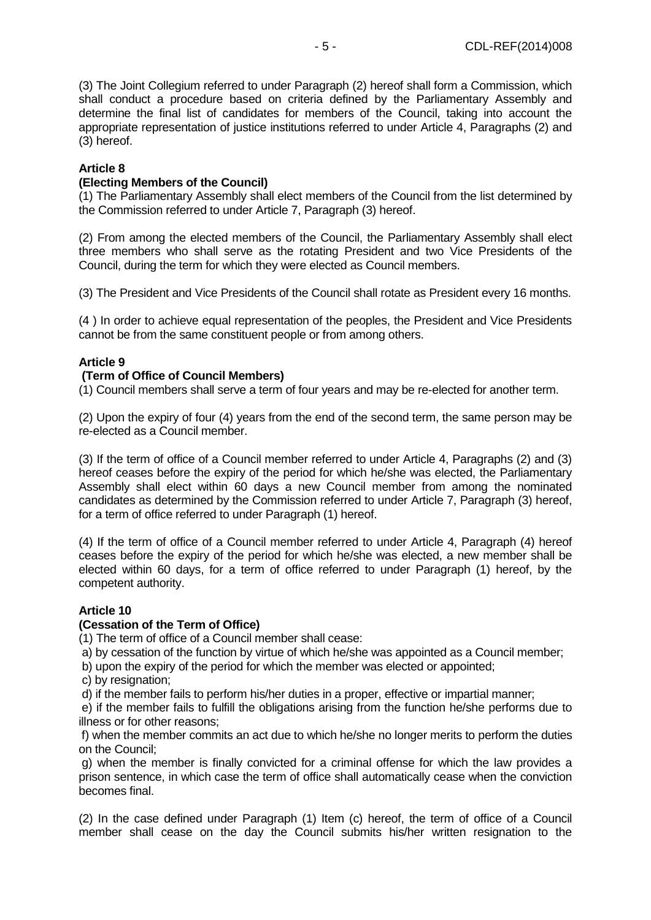(3) The Joint Collegium referred to under Paragraph (2) hereof shall form a Commission, which shall conduct a procedure based on criteria defined by the Parliamentary Assembly and determine the final list of candidates for members of the Council, taking into account the appropriate representation of justice institutions referred to under Article 4, Paragraphs (2) and (3) hereof.

### **Article 8**

### **(Electing Members of the Council)**

(1) The Parliamentary Assembly shall elect members of the Council from the list determined by the Commission referred to under Article 7, Paragraph (3) hereof.

(2) From among the elected members of the Council, the Parliamentary Assembly shall elect three members who shall serve as the rotating President and two Vice Presidents of the Council, during the term for which they were elected as Council members.

(3) The President and Vice Presidents of the Council shall rotate as President every 16 months.

(4 ) In order to achieve equal representation of the peoples, the President and Vice Presidents cannot be from the same constituent people or from among others.

### **Article 9**

### **(Term of Office of Council Members)**

(1) Council members shall serve a term of four years and may be re-elected for another term.

(2) Upon the expiry of four (4) years from the end of the second term, the same person may be re-elected as a Council member.

(3) If the term of office of a Council member referred to under Article 4, Paragraphs (2) and (3) hereof ceases before the expiry of the period for which he/she was elected, the Parliamentary Assembly shall elect within 60 days a new Council member from among the nominated candidates as determined by the Commission referred to under Article 7, Paragraph (3) hereof, for a term of office referred to under Paragraph (1) hereof.

(4) If the term of office of a Council member referred to under Article 4, Paragraph (4) hereof ceases before the expiry of the period for which he/she was elected, a new member shall be elected within 60 days, for a term of office referred to under Paragraph (1) hereof, by the competent authority.

### **Article 10**

### **(Cessation of the Term of Office)**

(1) The term of office of a Council member shall cease:

a) by cessation of the function by virtue of which he/she was appointed as a Council member;

b) upon the expiry of the period for which the member was elected or appointed;

c) by resignation:

d) if the member fails to perform his/her duties in a proper, effective or impartial manner;

e) if the member fails to fulfill the obligations arising from the function he/she performs due to illness or for other reasons;

f) when the member commits an act due to which he/she no longer merits to perform the duties on the Council;

g) when the member is finally convicted for a criminal offense for which the law provides a prison sentence, in which case the term of office shall automatically cease when the conviction becomes final.

(2) In the case defined under Paragraph (1) Item (c) hereof, the term of office of a Council member shall cease on the day the Council submits his/her written resignation to the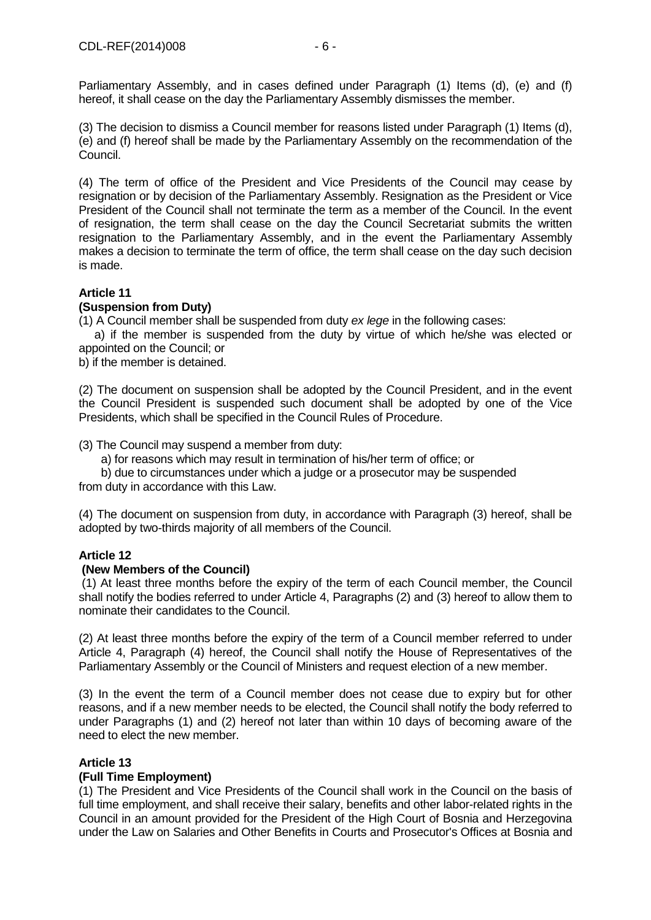Parliamentary Assembly, and in cases defined under Paragraph (1) Items (d), (e) and (f) hereof, it shall cease on the day the Parliamentary Assembly dismisses the member.

(3) The decision to dismiss a Council member for reasons listed under Paragraph (1) Items (d), (e) and (f) hereof shall be made by the Parliamentary Assembly on the recommendation of the Council.

(4) The term of office of the President and Vice Presidents of the Council may cease by resignation or by decision of the Parliamentary Assembly. Resignation as the President or Vice President of the Council shall not terminate the term as a member of the Council. In the event of resignation, the term shall cease on the day the Council Secretariat submits the written resignation to the Parliamentary Assembly, and in the event the Parliamentary Assembly makes a decision to terminate the term of office, the term shall cease on the day such decision is made.

# **Article 11**

# **(Suspension from Duty)**

(1) A Council member shall be suspended from duty *ex lege* in the following cases:

 a) if the member is suspended from the duty by virtue of which he/she was elected or appointed on the Council; or

b) if the member is detained.

(2) The document on suspension shall be adopted by the Council President, and in the event the Council President is suspended such document shall be adopted by one of the Vice Presidents, which shall be specified in the Council Rules of Procedure.

(3) The Council may suspend a member from duty:

a) for reasons which may result in termination of his/her term of office; or

 b) due to circumstances under which a judge or a prosecutor may be suspended from duty in accordance with this Law.

(4) The document on suspension from duty, in accordance with Paragraph (3) hereof, shall be adopted by two-thirds majority of all members of the Council.

# **Article 12**

# **(New Members of the Council)**

(1) At least three months before the expiry of the term of each Council member, the Council shall notify the bodies referred to under Article 4, Paragraphs (2) and (3) hereof to allow them to nominate their candidates to the Council.

(2) At least three months before the expiry of the term of a Council member referred to under Article 4, Paragraph (4) hereof, the Council shall notify the House of Representatives of the Parliamentary Assembly or the Council of Ministers and request election of a new member.

(3) In the event the term of a Council member does not cease due to expiry but for other reasons, and if a new member needs to be elected, the Council shall notify the body referred to under Paragraphs (1) and (2) hereof not later than within 10 days of becoming aware of the need to elect the new member.

# **Article 13**

# **(Full Time Employment)**

(1) The President and Vice Presidents of the Council shall work in the Council on the basis of full time employment, and shall receive their salary, benefits and other labor-related rights in the Council in an amount provided for the President of the High Court of Bosnia and Herzegovina under the Law on Salaries and Other Benefits in Courts and Prosecutor's Offices at Bosnia and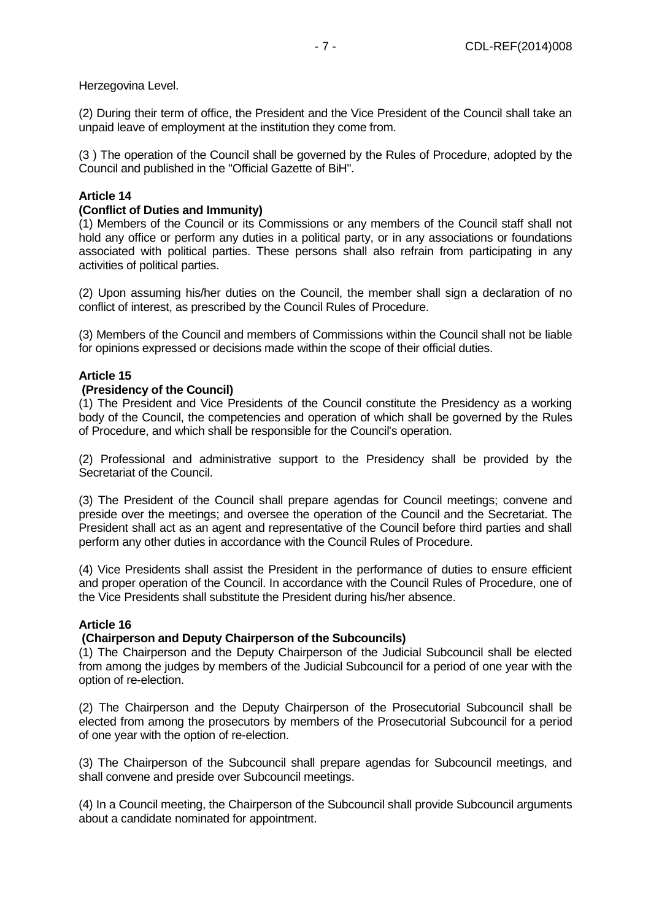Herzegovina Level.

(2) During their term of office, the President and the Vice President of the Council shall take an unpaid leave of employment at the institution they come from.

(3 ) The operation of the Council shall be governed by the Rules of Procedure, adopted by the Council and published in the "Official Gazette of BiH".

# **Article 14**

### **(Conflict of Duties and Immunity)**

(1) Members of the Council or its Commissions or any members of the Council staff shall not hold any office or perform any duties in a political party, or in any associations or foundations associated with political parties. These persons shall also refrain from participating in any activities of political parties.

(2) Upon assuming his/her duties on the Council, the member shall sign a declaration of no conflict of interest, as prescribed by the Council Rules of Procedure.

(3) Members of the Council and members of Commissions within the Council shall not be liable for opinions expressed or decisions made within the scope of their official duties.

### **Article 15**

### **(Presidency of the Council)**

(1) The President and Vice Presidents of the Council constitute the Presidency as a working body of the Council, the competencies and operation of which shall be governed by the Rules of Procedure, and which shall be responsible for the Council's operation.

(2) Professional and administrative support to the Presidency shall be provided by the Secretariat of the Council.

(3) The President of the Council shall prepare agendas for Council meetings; convene and preside over the meetings; and oversee the operation of the Council and the Secretariat. The President shall act as an agent and representative of the Council before third parties and shall perform any other duties in accordance with the Council Rules of Procedure.

(4) Vice Presidents shall assist the President in the performance of duties to ensure efficient and proper operation of the Council. In accordance with the Council Rules of Procedure, one of the Vice Presidents shall substitute the President during his/her absence.

### **Article 16**

# **(Chairperson and Deputy Chairperson of the Subcouncils)**

(1) The Chairperson and the Deputy Chairperson of the Judicial Subcouncil shall be elected from among the judges by members of the Judicial Subcouncil for a period of one year with the option of re-election.

(2) The Chairperson and the Deputy Chairperson of the Prosecutorial Subcouncil shall be elected from among the prosecutors by members of the Prosecutorial Subcouncil for a period of one year with the option of re-election.

(3) The Chairperson of the Subcouncil shall prepare agendas for Subcouncil meetings, and shall convene and preside over Subcouncil meetings.

(4) In a Council meeting, the Chairperson of the Subcouncil shall provide Subcouncil arguments about a candidate nominated for appointment.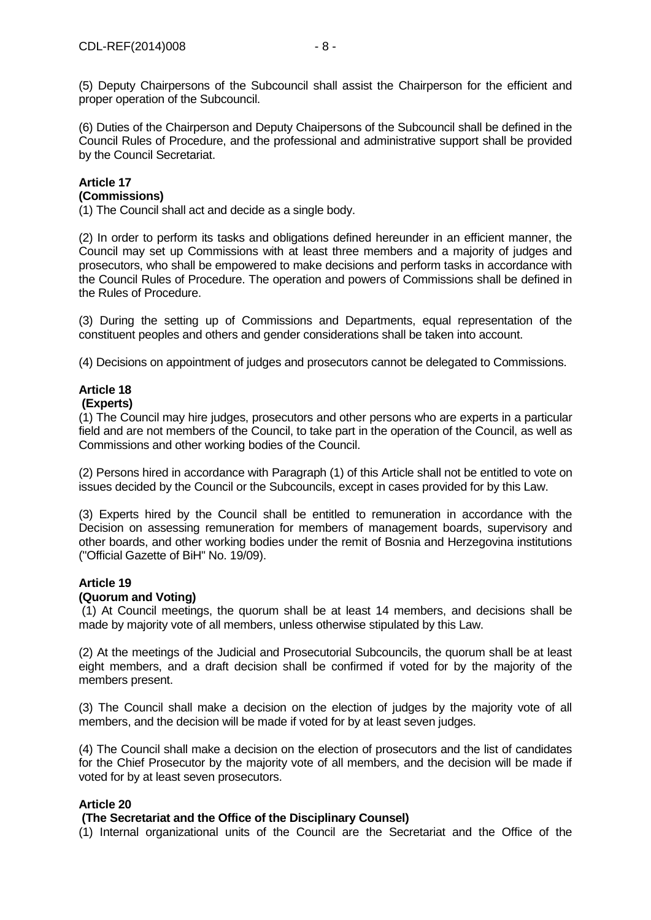(6) Duties of the Chairperson and Deputy Chaipersons of the Subcouncil shall be defined in the Council Rules of Procedure, and the professional and administrative support shall be provided by the Council Secretariat.

### **Article 17 (Commissions)**

(1) The Council shall act and decide as a single body.

(2) In order to perform its tasks and obligations defined hereunder in an efficient manner, the Council may set up Commissions with at least three members and a majority of judges and prosecutors, who shall be empowered to make decisions and perform tasks in accordance with the Council Rules of Procedure. The operation and powers of Commissions shall be defined in the Rules of Procedure.

(3) During the setting up of Commissions and Departments, equal representation of the constituent peoples and others and gender considerations shall be taken into account.

(4) Decisions on appointment of judges and prosecutors cannot be delegated to Commissions.

### **Article 18 (Experts)**

(1) The Council may hire judges, prosecutors and other persons who are experts in a particular field and are not members of the Council, to take part in the operation of the Council, as well as Commissions and other working bodies of the Council.

(2) Persons hired in accordance with Paragraph (1) of this Article shall not be entitled to vote on issues decided by the Council or the Subcouncils, except in cases provided for by this Law.

(3) Experts hired by the Council shall be entitled to remuneration in accordance with the Decision on assessing remuneration for members of management boards, supervisory and other boards, and other working bodies under the remit of Bosnia and Herzegovina institutions ("Official Gazette of BiH" No. 19/09).

# **Article 19**

# **(Quorum and Voting)**

(1) At Council meetings, the quorum shall be at least 14 members, and decisions shall be made by majority vote of all members, unless otherwise stipulated by this Law.

(2) At the meetings of the Judicial and Prosecutorial Subcouncils, the quorum shall be at least eight members, and a draft decision shall be confirmed if voted for by the majority of the members present.

(3) The Council shall make a decision on the election of judges by the majority vote of all members, and the decision will be made if voted for by at least seven judges.

(4) The Council shall make a decision on the election of prosecutors and the list of candidates for the Chief Prosecutor by the majority vote of all members, and the decision will be made if voted for by at least seven prosecutors.

# **Article 20**

# **(The Secretariat and the Office of the Disciplinary Counsel)**

(1) Internal organizational units of the Council are the Secretariat and the Office of the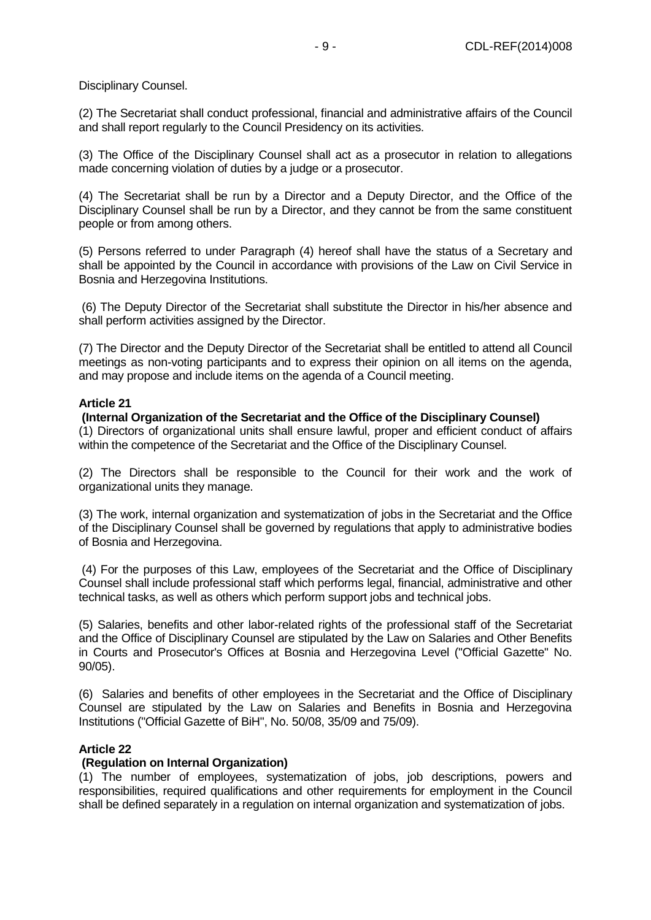Disciplinary Counsel.

(2) The Secretariat shall conduct professional, financial and administrative affairs of the Council and shall report regularly to the Council Presidency on its activities.

(3) The Office of the Disciplinary Counsel shall act as a prosecutor in relation to allegations made concerning violation of duties by a judge or a prosecutor.

(4) The Secretariat shall be run by a Director and a Deputy Director, and the Office of the Disciplinary Counsel shall be run by a Director, and they cannot be from the same constituent people or from among others.

(5) Persons referred to under Paragraph (4) hereof shall have the status of a Secretary and shall be appointed by the Council in accordance with provisions of the Law on Civil Service in Bosnia and Herzegovina Institutions.

(6) The Deputy Director of the Secretariat shall substitute the Director in his/her absence and shall perform activities assigned by the Director.

(7) The Director and the Deputy Director of the Secretariat shall be entitled to attend all Council meetings as non-voting participants and to express their opinion on all items on the agenda, and may propose and include items on the agenda of a Council meeting.

### **Article 21**

# **(Internal Organization of the Secretariat and the Office of the Disciplinary Counsel)**

(1) Directors of organizational units shall ensure lawful, proper and efficient conduct of affairs within the competence of the Secretariat and the Office of the Disciplinary Counsel.

(2) The Directors shall be responsible to the Council for their work and the work of organizational units they manage.

(3) The work, internal organization and systematization of jobs in the Secretariat and the Office of the Disciplinary Counsel shall be governed by regulations that apply to administrative bodies of Bosnia and Herzegovina.

(4) For the purposes of this Law, employees of the Secretariat and the Office of Disciplinary Counsel shall include professional staff which performs legal, financial, administrative and other technical tasks, as well as others which perform support jobs and technical jobs.

(5) Salaries, benefits and other labor-related rights of the professional staff of the Secretariat and the Office of Disciplinary Counsel are stipulated by the Law on Salaries and Other Benefits in Courts and Prosecutor's Offices at Bosnia and Herzegovina Level ("Official Gazette" No. 90/05).

(6) Salaries and benefits of other employees in the Secretariat and the Office of Disciplinary Counsel are stipulated by the Law on Salaries and Benefits in Bosnia and Herzegovina Institutions ("Official Gazette of BiH", No. 50/08, 35/09 and 75/09).

# **Article 22**

### **(Regulation on Internal Organization)**

(1) The number of employees, systematization of jobs, job descriptions, powers and responsibilities, required qualifications and other requirements for employment in the Council shall be defined separately in a regulation on internal organization and systematization of jobs.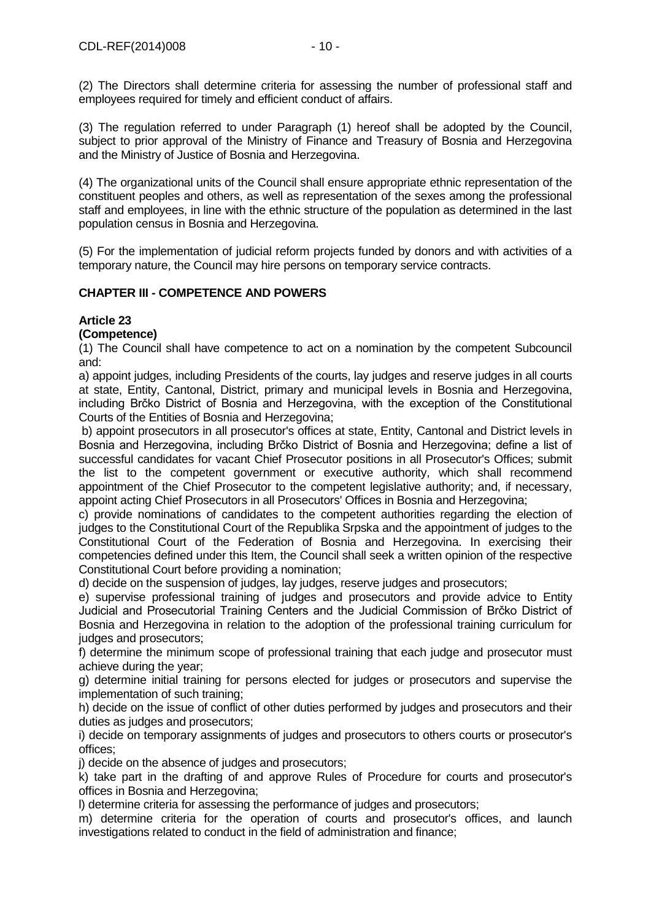(2) The Directors shall determine criteria for assessing the number of professional staff and employees required for timely and efficient conduct of affairs.

(3) The regulation referred to under Paragraph (1) hereof shall be adopted by the Council, subject to prior approval of the Ministry of Finance and Treasury of Bosnia and Herzegovina and the Ministry of Justice of Bosnia and Herzegovina.

(4) The organizational units of the Council shall ensure appropriate ethnic representation of the constituent peoples and others, as well as representation of the sexes among the professional staff and employees, in line with the ethnic structure of the population as determined in the last population census in Bosnia and Herzegovina.

(5) For the implementation of judicial reform projects funded by donors and with activities of a temporary nature, the Council may hire persons on temporary service contracts.

# **CHAPTER III - COMPETENCE AND POWERS**

# **Article 23**

# **(Competence)**

(1) The Council shall have competence to act on a nomination by the competent Subcouncil and:

a) appoint judges, including Presidents of the courts, lay judges and reserve judges in all courts at state, Entity, Cantonal, District, primary and municipal levels in Bosnia and Herzegovina, including Brčko District of Bosnia and Herzegovina, with the exception of the Constitutional Courts of the Entities of Bosnia and Herzegovina;

b) appoint prosecutors in all prosecutor's offices at state, Entity, Cantonal and District levels in Bosnia and Herzegovina, including Brčko District of Bosnia and Herzegovina; define a list of successful candidates for vacant Chief Prosecutor positions in all Prosecutor's Offices; submit the list to the competent government or executive authority, which shall recommend appointment of the Chief Prosecutor to the competent legislative authority; and, if necessary, appoint acting Chief Prosecutors in all Prosecutors' Offices in Bosnia and Herzegovina;

c) provide nominations of candidates to the competent authorities regarding the election of judges to the Constitutional Court of the Republika Srpska and the appointment of judges to the Constitutional Court of the Federation of Bosnia and Herzegovina. In exercising their competencies defined under this Item, the Council shall seek a written opinion of the respective Constitutional Court before providing a nomination;

d) decide on the suspension of judges, lay judges, reserve judges and prosecutors;

e) supervise professional training of judges and prosecutors and provide advice to Entity Judicial and Prosecutorial Training Centers and the Judicial Commission of Brčko District of Bosnia and Herzegovina in relation to the adoption of the professional training curriculum for judges and prosecutors;

f) determine the minimum scope of professional training that each judge and prosecutor must achieve during the year;

g) determine initial training for persons elected for judges or prosecutors and supervise the implementation of such training;

h) decide on the issue of conflict of other duties performed by judges and prosecutors and their duties as judges and prosecutors;

i) decide on temporary assignments of judges and prosecutors to others courts or prosecutor's offices;

i) decide on the absence of judges and prosecutors;

k) take part in the drafting of and approve Rules of Procedure for courts and prosecutor's offices in Bosnia and Herzegovina;

l) determine criteria for assessing the performance of judges and prosecutors;

m) determine criteria for the operation of courts and prosecutor's offices, and launch investigations related to conduct in the field of administration and finance;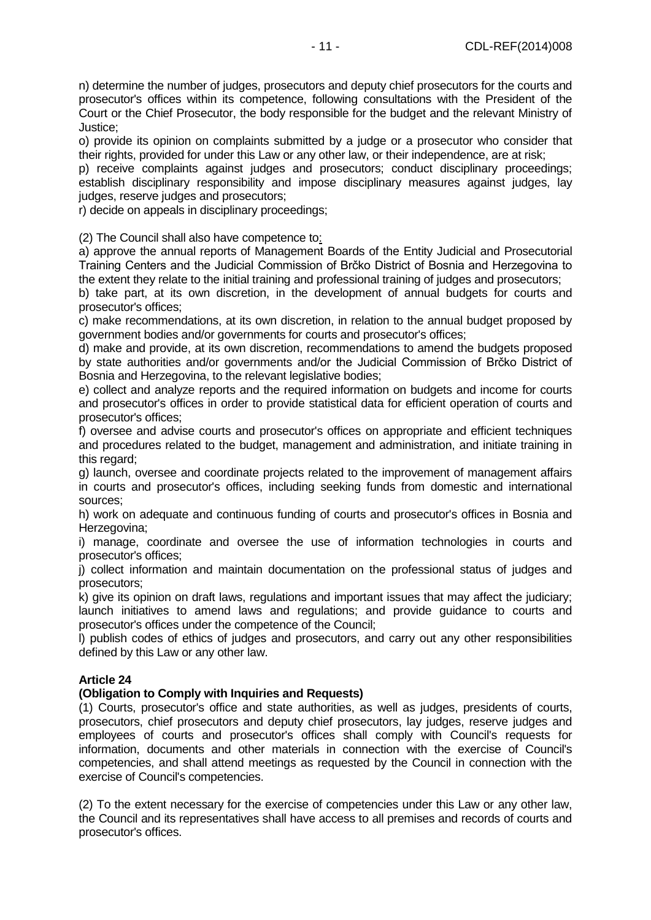n) determine the number of judges, prosecutors and deputy chief prosecutors for the courts and prosecutor's offices within its competence, following consultations with the President of the Court or the Chief Prosecutor, the body responsible for the budget and the relevant Ministry of Justice;

o) provide its opinion on complaints submitted by a judge or a prosecutor who consider that their rights, provided for under this Law or any other law, or their independence, are at risk;

p) receive complaints against judges and prosecutors; conduct disciplinary proceedings; establish disciplinary responsibility and impose disciplinary measures against judges, lay judges, reserve judges and prosecutors;

r) decide on appeals in disciplinary proceedings;

(2) The Council shall also have competence to:

a) approve the annual reports of Management Boards of the Entity Judicial and Prosecutorial Training Centers and the Judicial Commission of Brčko District of Bosnia and Herzegovina to the extent they relate to the initial training and professional training of judges and prosecutors;

b) take part, at its own discretion, in the development of annual budgets for courts and prosecutor's offices;

c) make recommendations, at its own discretion, in relation to the annual budget proposed by government bodies and/or governments for courts and prosecutor's offices;

d) make and provide, at its own discretion, recommendations to amend the budgets proposed by state authorities and/or governments and/or the Judicial Commission of Brčko District of Bosnia and Herzegovina, to the relevant legislative bodies;

e) collect and analyze reports and the required information on budgets and income for courts and prosecutor's offices in order to provide statistical data for efficient operation of courts and prosecutor's offices;

f) oversee and advise courts and prosecutor's offices on appropriate and efficient techniques and procedures related to the budget, management and administration, and initiate training in this regard;

g) launch, oversee and coordinate projects related to the improvement of management affairs in courts and prosecutor's offices, including seeking funds from domestic and international sources;

h) work on adequate and continuous funding of courts and prosecutor's offices in Bosnia and Herzegovina:

i) manage, coordinate and oversee the use of information technologies in courts and prosecutor's offices;

j) collect information and maintain documentation on the professional status of judges and prosecutors;

k) give its opinion on draft laws, regulations and important issues that may affect the judiciary; launch initiatives to amend laws and regulations; and provide guidance to courts and prosecutor's offices under the competence of the Council;

l) publish codes of ethics of judges and prosecutors, and carry out any other responsibilities defined by this Law or any other law.

# **Article 24**

# **(Obligation to Comply with Inquiries and Requests)**

(1) Courts, prosecutor's office and state authorities, as well as judges, presidents of courts, prosecutors, chief prosecutors and deputy chief prosecutors, lay judges, reserve judges and employees of courts and prosecutor's offices shall comply with Council's requests for information, documents and other materials in connection with the exercise of Council's competencies, and shall attend meetings as requested by the Council in connection with the exercise of Council's competencies.

(2) To the extent necessary for the exercise of competencies under this Law or any other law, the Council and its representatives shall have access to all premises and records of courts and prosecutor's offices.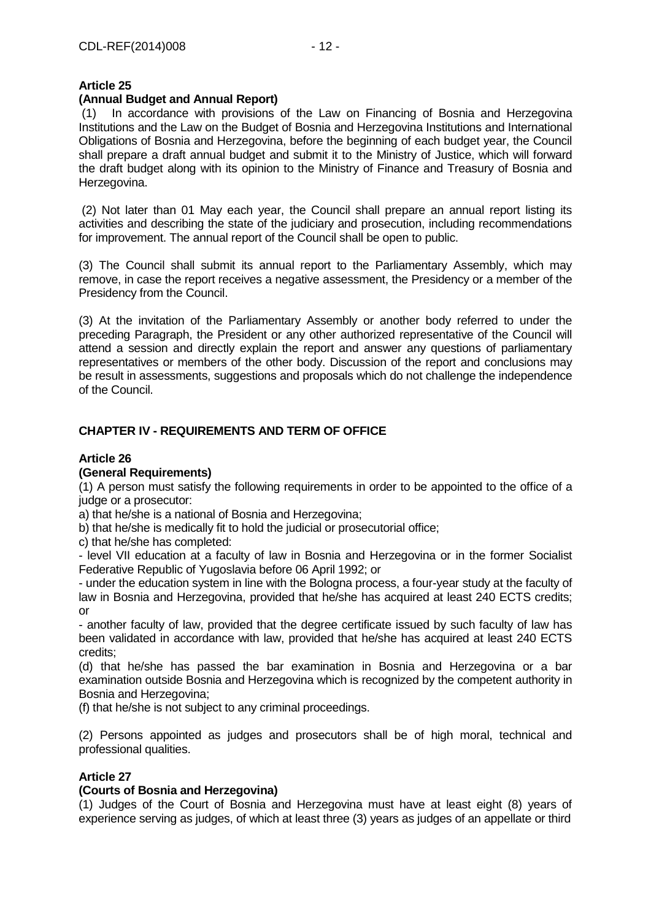# **(Annual Budget and Annual Report)**

(1) In accordance with provisions of the Law on Financing of Bosnia and Herzegovina Institutions and the Law on the Budget of Bosnia and Herzegovina Institutions and International Obligations of Bosnia and Herzegovina, before the beginning of each budget year, the Council shall prepare a draft annual budget and submit it to the Ministry of Justice, which will forward the draft budget along with its opinion to the Ministry of Finance and Treasury of Bosnia and Herzegovina.

(2) Not later than 01 May each year, the Council shall prepare an annual report listing its activities and describing the state of the judiciary and prosecution, including recommendations for improvement. The annual report of the Council shall be open to public.

(3) The Council shall submit its annual report to the Parliamentary Assembly, which may remove, in case the report receives a negative assessment, the Presidency or a member of the Presidency from the Council.

(3) At the invitation of the Parliamentary Assembly or another body referred to under the preceding Paragraph, the President or any other authorized representative of the Council will attend a session and directly explain the report and answer any questions of parliamentary representatives or members of the other body. Discussion of the report and conclusions may be result in assessments, suggestions and proposals which do not challenge the independence of the Council.

# **CHAPTER IV - REQUIREMENTS AND TERM OF OFFICE**

### **Article 26**

# **(General Requirements)**

(1) A person must satisfy the following requirements in order to be appointed to the office of a judge or a prosecutor:

a) that he/she is a national of Bosnia and Herzegovina;

b) that he/she is medically fit to hold the judicial or prosecutorial office;

c) that he/she has completed:

- level VII education at a faculty of law in Bosnia and Herzegovina or in the former Socialist Federative Republic of Yugoslavia before 06 April 1992; or

- under the education system in line with the Bologna process, a four-year study at the faculty of law in Bosnia and Herzegovina, provided that he/she has acquired at least 240 ECTS credits; or

- another faculty of law, provided that the degree certificate issued by such faculty of law has been validated in accordance with law, provided that he/she has acquired at least 240 ECTS credits;

(d) that he/she has passed the bar examination in Bosnia and Herzegovina or a bar examination outside Bosnia and Herzegovina which is recognized by the competent authority in Bosnia and Herzegovina;

(f) that he/she is not subject to any criminal proceedings.

(2) Persons appointed as judges and prosecutors shall be of high moral, technical and professional qualities.

# **Article 27**

# **(Courts of Bosnia and Herzegovina)**

(1) Judges of the Court of Bosnia and Herzegovina must have at least eight (8) years of experience serving as judges, of which at least three (3) years as judges of an appellate or third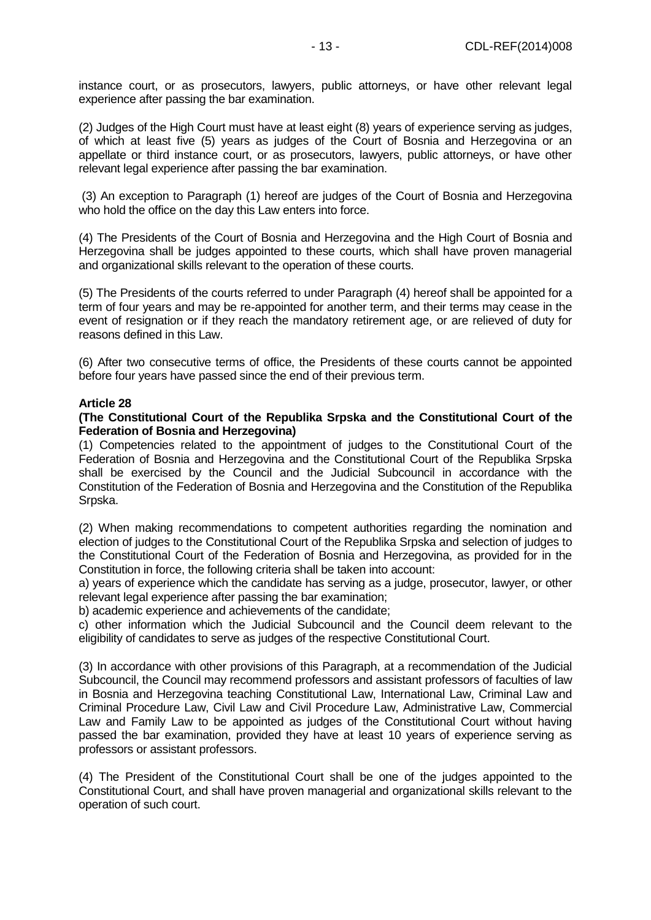instance court, or as prosecutors, lawyers, public attorneys, or have other relevant legal experience after passing the bar examination.

(2) Judges of the High Court must have at least eight (8) years of experience serving as judges, of which at least five (5) years as judges of the Court of Bosnia and Herzegovina or an appellate or third instance court, or as prosecutors, lawyers, public attorneys, or have other relevant legal experience after passing the bar examination.

(3) An exception to Paragraph (1) hereof are judges of the Court of Bosnia and Herzegovina who hold the office on the day this Law enters into force.

(4) The Presidents of the Court of Bosnia and Herzegovina and the High Court of Bosnia and Herzegovina shall be judges appointed to these courts, which shall have proven managerial and organizational skills relevant to the operation of these courts.

(5) The Presidents of the courts referred to under Paragraph (4) hereof shall be appointed for a term of four years and may be re-appointed for another term, and their terms may cease in the event of resignation or if they reach the mandatory retirement age, or are relieved of duty for reasons defined in this Law.

(6) After two consecutive terms of office, the Presidents of these courts cannot be appointed before four years have passed since the end of their previous term.

### **Article 28**

#### **(The Constitutional Court of the Republika Srpska and the Constitutional Court of the Federation of Bosnia and Herzegovina)**

(1) Competencies related to the appointment of judges to the Constitutional Court of the Federation of Bosnia and Herzegovina and the Constitutional Court of the Republika Srpska shall be exercised by the Council and the Judicial Subcouncil in accordance with the Constitution of the Federation of Bosnia and Herzegovina and the Constitution of the Republika Srpska.

(2) When making recommendations to competent authorities regarding the nomination and election of judges to the Constitutional Court of the Republika Srpska and selection of judges to the Constitutional Court of the Federation of Bosnia and Herzegovina, as provided for in the Constitution in force, the following criteria shall be taken into account:

a) years of experience which the candidate has serving as a judge, prosecutor, lawyer, or other relevant legal experience after passing the bar examination;

b) academic experience and achievements of the candidate;

c) other information which the Judicial Subcouncil and the Council deem relevant to the eligibility of candidates to serve as judges of the respective Constitutional Court.

(3) In accordance with other provisions of this Paragraph, at a recommendation of the Judicial Subcouncil, the Council may recommend professors and assistant professors of faculties of law in Bosnia and Herzegovina teaching Constitutional Law, International Law, Criminal Law and Criminal Procedure Law, Civil Law and Civil Procedure Law, Administrative Law, Commercial Law and Family Law to be appointed as judges of the Constitutional Court without having passed the bar examination, provided they have at least 10 years of experience serving as professors or assistant professors.

(4) The President of the Constitutional Court shall be one of the judges appointed to the Constitutional Court, and shall have proven managerial and organizational skills relevant to the operation of such court.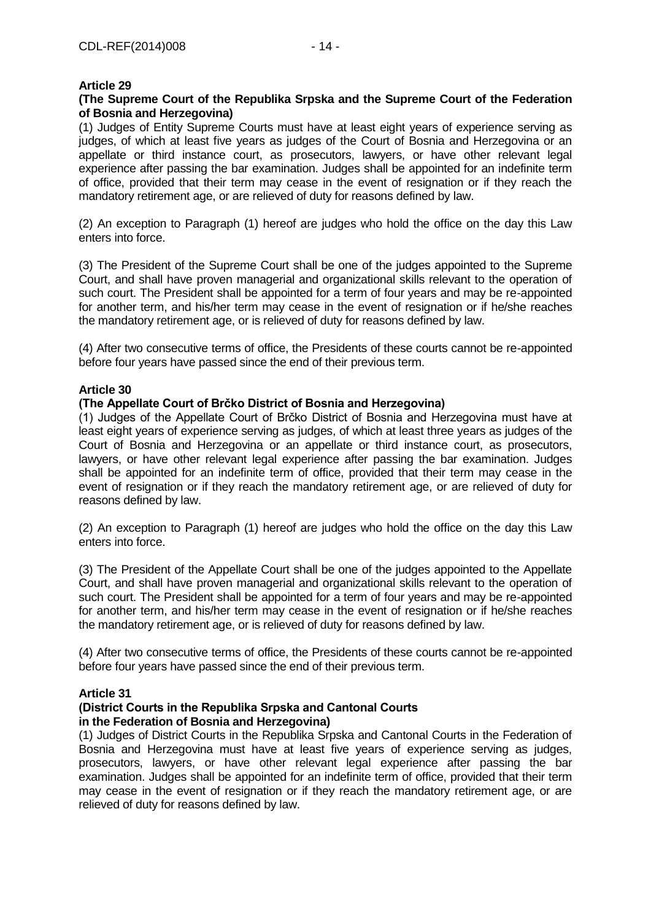# **(The Supreme Court of the Republika Srpska and the Supreme Court of the Federation of Bosnia and Herzegovina)**

(1) Judges of Entity Supreme Courts must have at least eight years of experience serving as judges, of which at least five years as judges of the Court of Bosnia and Herzegovina or an appellate or third instance court, as prosecutors, lawyers, or have other relevant legal experience after passing the bar examination. Judges shall be appointed for an indefinite term of office, provided that their term may cease in the event of resignation or if they reach the mandatory retirement age, or are relieved of duty for reasons defined by law.

(2) An exception to Paragraph (1) hereof are judges who hold the office on the day this Law enters into force.

(3) The President of the Supreme Court shall be one of the judges appointed to the Supreme Court, and shall have proven managerial and organizational skills relevant to the operation of such court. The President shall be appointed for a term of four years and may be re-appointed for another term, and his/her term may cease in the event of resignation or if he/she reaches the mandatory retirement age, or is relieved of duty for reasons defined by law.

(4) After two consecutive terms of office, the Presidents of these courts cannot be re-appointed before four years have passed since the end of their previous term.

### **Article 30**

# **(The Appellate Court of Brčko District of Bosnia and Herzegovina)**

(1) Judges of the Appellate Court of Brčko District of Bosnia and Herzegovina must have at least eight years of experience serving as judges, of which at least three years as judges of the Court of Bosnia and Herzegovina or an appellate or third instance court, as prosecutors, lawyers, or have other relevant legal experience after passing the bar examination. Judges shall be appointed for an indefinite term of office, provided that their term may cease in the event of resignation or if they reach the mandatory retirement age, or are relieved of duty for reasons defined by law.

(2) An exception to Paragraph (1) hereof are judges who hold the office on the day this Law enters into force.

(3) The President of the Appellate Court shall be one of the judges appointed to the Appellate Court, and shall have proven managerial and organizational skills relevant to the operation of such court. The President shall be appointed for a term of four years and may be re-appointed for another term, and his/her term may cease in the event of resignation or if he/she reaches the mandatory retirement age, or is relieved of duty for reasons defined by law.

(4) After two consecutive terms of office, the Presidents of these courts cannot be re-appointed before four years have passed since the end of their previous term.

### **Article 31**

### **(District Courts in the Rеpublika Srpska and Cantonal Courts in the Federation of Bosnia and Herzegovina)**

(1) Judges of District Courts in the Republika Srpska and Cantonal Courts in the Federation of Bosnia and Herzegovina must have at least five years of experience serving as judges, prosecutors, lawyers, or have other relevant legal experience after passing the bar examination. Judges shall be appointed for an indefinite term of office, provided that their term may cease in the event of resignation or if they reach the mandatory retirement age, or are relieved of duty for reasons defined by law.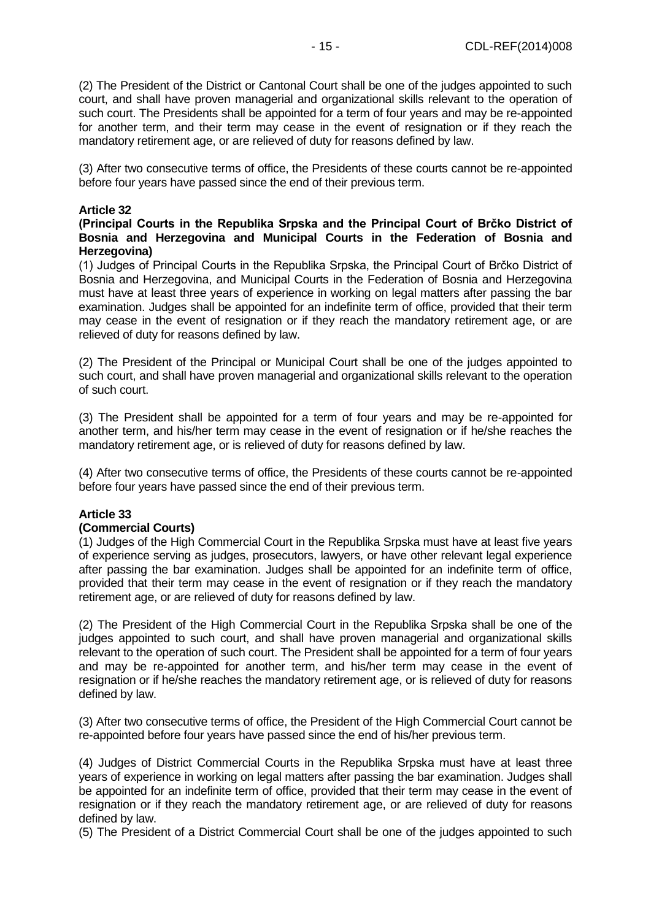(2) The President of the District or Cantonal Court shall be one of the judges appointed to such court, and shall have proven managerial and organizational skills relevant to the operation of such court. The Presidents shall be appointed for a term of four years and may be re-appointed for another term, and their term may cease in the event of resignation or if they reach the mandatory retirement age, or are relieved of duty for reasons defined by law.

(3) After two consecutive terms of office, the Presidents of these courts cannot be re-appointed before four years have passed since the end of their previous term.

#### **Article 32**

### **(Principal Courts in the Rеpublika Srpska and the Principal Court of Brčko District of Bosnia and Herzegovina and Municipal Courts in the Federation of Bosnia and Herzegovina)**

(1) Judges of Principal Courts in the Rеpublika Srpska, the Principal Court of Brčko District of Bosnia and Herzegovina, and Municipal Courts in the Federation of Bosnia and Herzegovina must have at least three years of experience in working on legal matters after passing the bar examination. Judges shall be appointed for an indefinite term of office, provided that their term may cease in the event of resignation or if they reach the mandatory retirement age, or are relieved of duty for reasons defined by law.

(2) The President of the Principal or Municipal Court shall be one of the judges appointed to such court, and shall have proven managerial and organizational skills relevant to the operation of such court.

(3) The President shall be appointed for a term of four years and may be re-appointed for another term, and his/her term may cease in the event of resignation or if he/she reaches the mandatory retirement age, or is relieved of duty for reasons defined by law.

(4) After two consecutive terms of office, the Presidents of these courts cannot be re-appointed before four years have passed since the end of their previous term.

# **Article 33**

# **(Commercial Courts)**

(1) Judges of the High Commercial Court in the Republika Srpska must have at least five years of experience serving as judges, prosecutors, lawyers, or have other relevant legal experience after passing the bar examination. Judges shall be appointed for an indefinite term of office, provided that their term may cease in the event of resignation or if they reach the mandatory retirement age, or are relieved of duty for reasons defined by law.

(2) The President of the High Commercial Court in the Rеpublika Srpska shall be one of the judges appointed to such court, and shall have proven managerial and organizational skills relevant to the operation of such court. The President shall be appointed for a term of four years and may be re-appointed for another term, and his/her term may cease in the event of resignation or if he/she reaches the mandatory retirement age, or is relieved of duty for reasons defined by law.

(3) After two consecutive terms of office, the President of the High Commercial Court cannot be re-appointed before four years have passed since the end of his/her previous term.

(4) Judges of District Commercial Courts in the Rеpublika Srpska must have at least three years of experience in working on legal matters after passing the bar examination. Judges shall be appointed for an indefinite term of office, provided that their term may cease in the event of resignation or if they reach the mandatory retirement age, or are relieved of duty for reasons defined by law.

(5) The President of a District Commercial Court shall be one of the judges appointed to such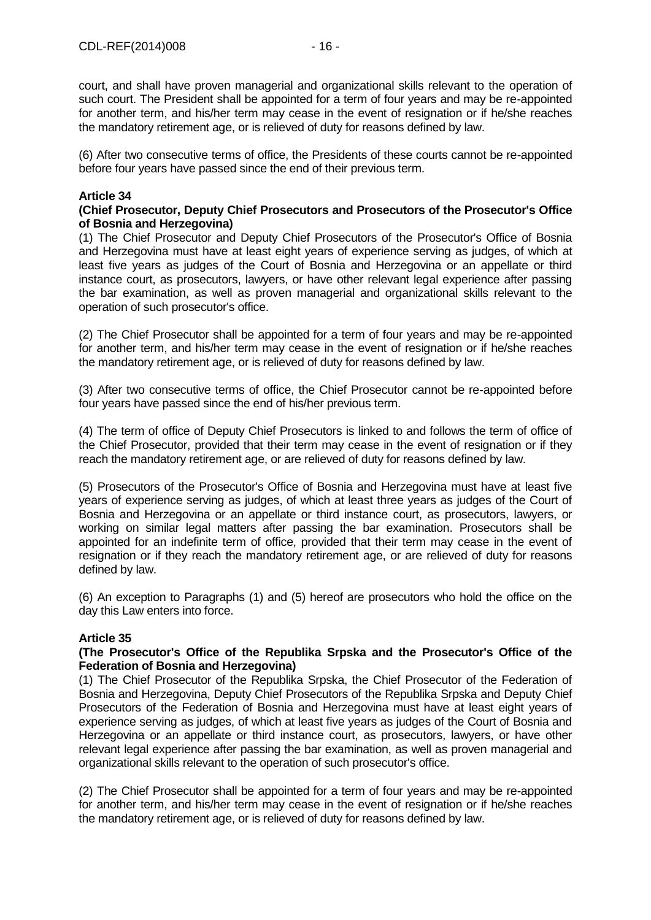court, and shall have proven managerial and organizational skills relevant to the operation of such court. The President shall be appointed for a term of four years and may be re-appointed for another term, and his/her term may cease in the event of resignation or if he/she reaches the mandatory retirement age, or is relieved of duty for reasons defined by law.

(6) After two consecutive terms of office, the Presidents of these courts cannot be re-appointed before four years have passed since the end of their previous term.

# **Article 34**

### **(Chief Prosecutor, Deputy Chief Prosecutors and Prosecutors of the Prosecutor's Office of Bosnia and Herzegovina)**

(1) The Chief Prosecutor and Deputy Chief Prosecutors of the Prosecutor's Office of Bosnia and Herzegovina must have at least eight years of experience serving as judges, of which at least five years as judges of the Court of Bosnia and Herzegovina or an appellate or third instance court, as prosecutors, lawyers, or have other relevant legal experience after passing the bar examination, as well as proven managerial and organizational skills relevant to the operation of such prosecutor's office.

(2) The Chief Prosecutor shall be appointed for a term of four years and may be re-appointed for another term, and his/her term may cease in the event of resignation or if he/she reaches the mandatory retirement age, or is relieved of duty for reasons defined by law.

(3) After two consecutive terms of office, the Chief Prosecutor cannot be re-appointed before four years have passed since the end of his/her previous term.

(4) The term of office of Deputy Chief Prosecutors is linked to and follows the term of office of the Chief Prosecutor, provided that their term may cease in the event of resignation or if they reach the mandatory retirement age, or are relieved of duty for reasons defined by law.

(5) Prosecutors of the Prosecutor's Office of Bosnia and Herzegovina must have at least five years of experience serving as judges, of which at least three years as judges of the Court of Bosnia and Herzegovina or an appellate or third instance court, as prosecutors, lawyers, or working on similar legal matters after passing the bar examination. Prosecutors shall be appointed for an indefinite term of office, provided that their term may cease in the event of resignation or if they reach the mandatory retirement age, or are relieved of duty for reasons defined by law.

(6) An exception to Paragraphs (1) and (5) hereof are prosecutors who hold the office on the day this Law enters into force.

# **Article 35**

### **(The Prosecutor's Office of the Republika Srpska and the Prosecutor's Office of the Federation of Bosnia and Herzegovina)**

(1) The Chief Prosecutor of the Republika Srpska, the Chief Prosecutor of the Federation of Bosnia and Herzegovina, Deputy Chief Prosecutors of the Republika Srpska and Deputy Chief Prosecutors of the Federation of Bosnia and Herzegovina must have at least eight years of experience serving as judges, of which at least five years as judges of the Court of Bosnia and Herzegovina or an appellate or third instance court, as prosecutors, lawyers, or have other relevant legal experience after passing the bar examination, as well as proven managerial and organizational skills relevant to the operation of such prosecutor's office.

(2) The Chief Prosecutor shall be appointed for a term of four years and may be re-appointed for another term, and his/her term may cease in the event of resignation or if he/she reaches the mandatory retirement age, or is relieved of duty for reasons defined by law.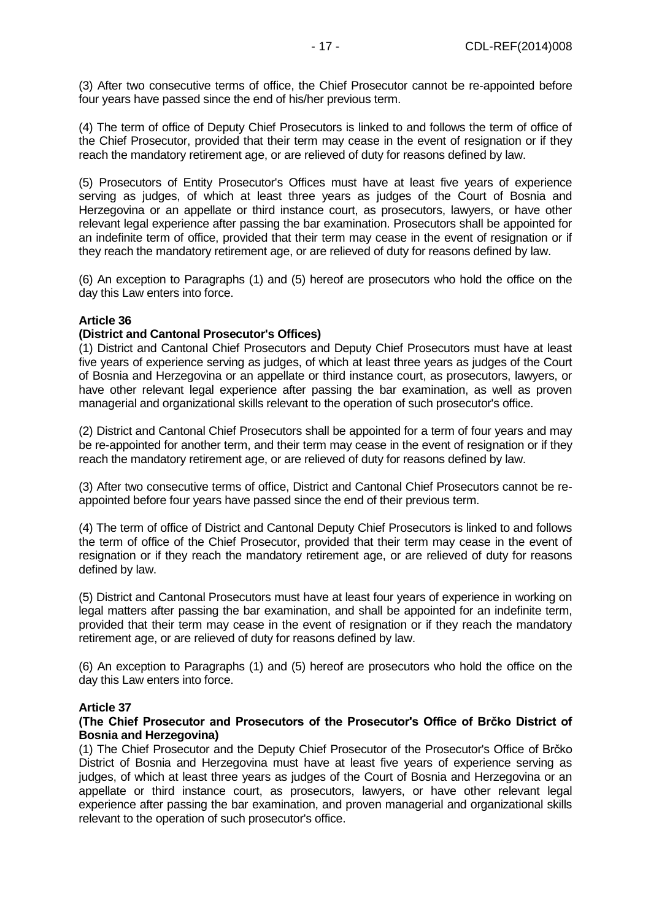(3) After two consecutive terms of office, the Chief Prosecutor cannot be re-appointed before four years have passed since the end of his/her previous term.

(4) The term of office of Deputy Chief Prosecutors is linked to and follows the term of office of the Chief Prosecutor, provided that their term may cease in the event of resignation or if they reach the mandatory retirement age, or are relieved of duty for reasons defined by law.

(5) Prosecutors of Entity Prosecutor's Offices must have at least five years of experience serving as judges, of which at least three years as judges of the Court of Bosnia and Herzegovina or an appellate or third instance court, as prosecutors, lawyers, or have other relevant legal experience after passing the bar examination. Prosecutors shall be appointed for an indefinite term of office, provided that their term may cease in the event of resignation or if they reach the mandatory retirement age, or are relieved of duty for reasons defined by law.

(6) An exception to Paragraphs (1) and (5) hereof are prosecutors who hold the office on the day this Law enters into force.

### **Article 36**

### **(District and Cantonal Prosecutor's Offices)**

(1) District and Cantonal Chief Prosecutors and Deputy Chief Prosecutors must have at least five years of experience serving as judges, of which at least three years as judges of the Court of Bosnia and Herzegovina or an appellate or third instance court, as prosecutors, lawyers, or have other relevant legal experience after passing the bar examination, as well as proven managerial and organizational skills relevant to the operation of such prosecutor's office.

(2) District and Cantonal Chief Prosecutors shall be appointed for a term of four years and may be re-appointed for another term, and their term may cease in the event of resignation or if they reach the mandatory retirement age, or are relieved of duty for reasons defined by law.

(3) After two consecutive terms of office, District and Cantonal Chief Prosecutors cannot be reappointed before four years have passed since the end of their previous term.

(4) The term of office of District and Cantonal Deputy Chief Prosecutors is linked to and follows the term of office of the Chief Prosecutor, provided that their term may cease in the event of resignation or if they reach the mandatory retirement age, or are relieved of duty for reasons defined by law.

(5) District and Cantonal Prosecutors must have at least four years of experience in working on legal matters after passing the bar examination, and shall be appointed for an indefinite term, provided that their term may cease in the event of resignation or if they reach the mandatory retirement age, or are relieved of duty for reasons defined by law.

(6) An exception to Paragraphs (1) and (5) hereof are prosecutors who hold the office on the day this Law enters into force.

### **Article 37**

### **(The Chief Prosecutor and Prosecutors of the Prosecutor's Office of Brčko District of Bosnia and Herzegovina)**

(1) The Chief Prosecutor and the Deputy Chief Prosecutor of the Prosecutor's Office of Brčko District of Bosnia and Herzegovina must have at least five years of experience serving as judges, of which at least three years as judges of the Court of Bosnia and Herzegovina or an appellate or third instance court, as prosecutors, lawyers, or have other relevant legal experience after passing the bar examination, and proven managerial and organizational skills relevant to the operation of such prosecutor's office.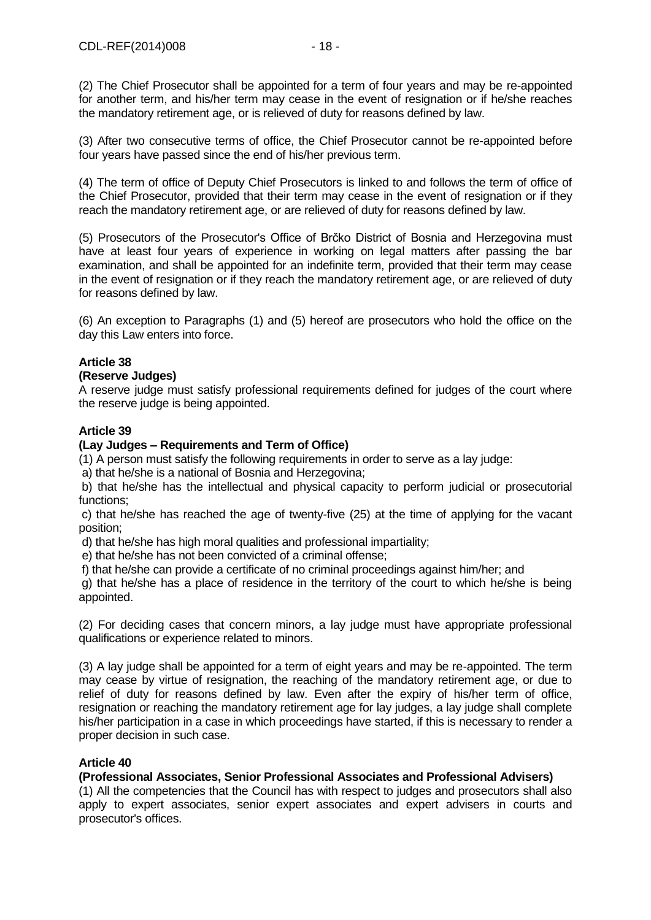(2) The Chief Prosecutor shall be appointed for a term of four years and may be re-appointed for another term, and his/her term may cease in the event of resignation or if he/she reaches the mandatory retirement age, or is relieved of duty for reasons defined by law.

(3) After two consecutive terms of office, the Chief Prosecutor cannot be re-appointed before four years have passed since the end of his/her previous term.

(4) The term of office of Deputy Chief Prosecutors is linked to and follows the term of office of the Chief Prosecutor, provided that their term may cease in the event of resignation or if they reach the mandatory retirement age, or are relieved of duty for reasons defined by law.

(5) Prosecutors of the Prosecutor's Office of Brčko District of Bosnia and Herzegovina must have at least four years of experience in working on legal matters after passing the bar examination, and shall be appointed for an indefinite term, provided that their term may cease in the event of resignation or if they reach the mandatory retirement age, or are relieved of duty for reasons defined by law.

(6) An exception to Paragraphs (1) and (5) hereof are prosecutors who hold the office on the day this Law enters into force.

# **Article 38**

# **(Reserve Judges)**

A reserve judge must satisfy professional requirements defined for judges of the court where the reserve judge is being appointed.

# **Article 39**

# **(Lay Judges – Requirements and Term of Office)**

(1) A person must satisfy the following requirements in order to serve as a lay judge:

a) that he/she is a national of Bosnia and Herzegovina;

b) that he/she has the intellectual and physical capacity to perform judicial or prosecutorial functions;

c) that he/she has reached the age of twenty-five (25) at the time of applying for the vacant position;

d) that he/she has high moral qualities and professional impartiality;

e) that he/she has not been convicted of a criminal offense;

f) that he/she can provide a certificate of no criminal proceedings against him/her; and

g) that he/she has a place of residence in the territory of the court to which he/she is being appointed.

(2) For deciding cases that concern minors, a lay judge must have appropriate professional qualifications or experience related to minors.

(3) A lay judge shall be appointed for a term of eight years and may be re-appointed. The term may cease by virtue of resignation, the reaching of the mandatory retirement age, or due to relief of duty for reasons defined by law. Even after the expiry of his/her term of office, resignation or reaching the mandatory retirement age for lay judges, a lay judge shall complete his/her participation in a case in which proceedings have started, if this is necessary to render a proper decision in such case.

# **Article 40**

# **(Professional Associates, Senior Professional Associates and Professional Advisers)**

(1) All the competencies that the Council has with respect to judges and prosecutors shall also apply to expert associates, senior expert associates and expert advisers in courts and prosecutor's offices.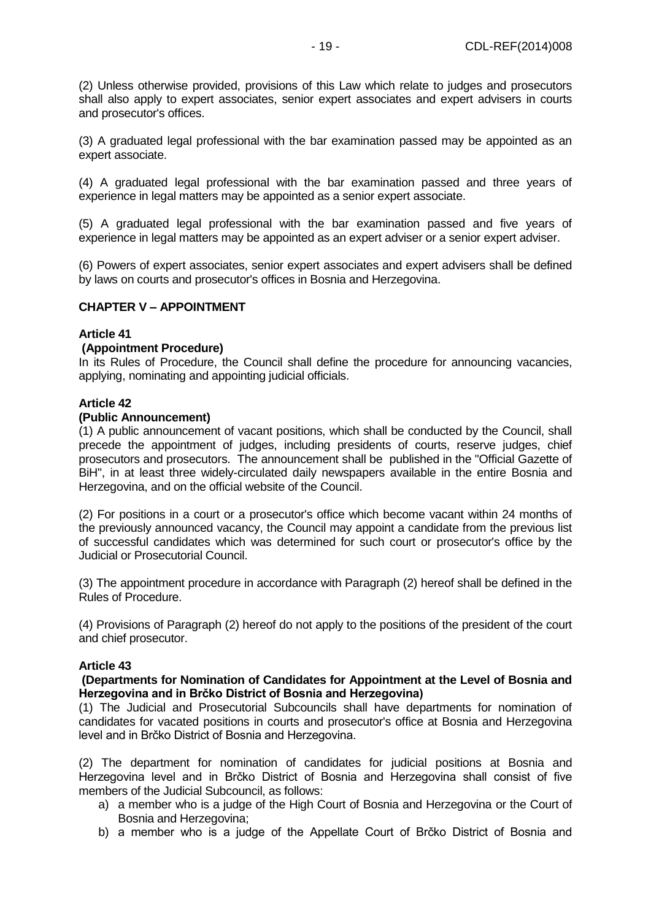(2) Unless otherwise provided, provisions of this Law which relate to judges and prosecutors shall also apply to expert associates, senior expert associates and expert advisers in courts and prosecutor's offices.

(3) A graduated legal professional with the bar examination passed may be appointed as an expert associate.

(4) A graduated legal professional with the bar examination passed and three years of experience in legal matters may be appointed as a senior expert associate.

(5) A graduated legal professional with the bar examination passed and five years of experience in legal matters may be appointed as an expert adviser or a senior expert adviser.

(6) Powers of expert associates, senior expert associates and expert advisers shall be defined by laws on courts and prosecutor's offices in Bosnia and Herzegovina.

### **CHAPTER V – APPOINTMENT**

#### **Article 41**

#### **(Appointment Procedure)**

In its Rules of Procedure, the Council shall define the procedure for announcing vacancies, applying, nominating and appointing judicial officials.

### **Article 42**

#### **(Public Announcement)**

(1) A public announcement of vacant positions, which shall be conducted by the Council, shall precede the appointment of judges, including presidents of courts, reserve judges, chief prosecutors and prosecutors. The announcement shall be published in the "Official Gazette of BiH", in at least three widely-circulated daily newspapers available in the entire Bosnia and Herzegovina, and on the official website of the Council.

(2) For positions in a court or a prosecutor's office which become vacant within 24 months of the previously announced vacancy, the Council may appoint a candidate from the previous list of successful candidates which was determined for such court or prosecutor's office by the Judicial or Prosecutorial Council.

(3) The appointment procedure in accordance with Paragraph (2) hereof shall be defined in the Rules of Procedure.

(4) Provisions of Paragraph (2) hereof do not apply to the positions of the president of the court and chief prosecutor.

#### **Article 43**

### **(Departments for Nomination of Candidates for Appointment at the Level of Bosnia and Herzegovina and in Brčko District of Bosnia and Herzegovina)**

(1) The Judicial and Prosecutorial Subcouncils shall have departments for nomination of candidates for vacated positions in courts and prosecutor's office at Bosnia and Herzegovina level and in Brčko District of Bosnia and Herzegovina.

(2) The department for nomination of candidates for judicial positions at Bosnia and Herzegovina level and in Brčko District of Bosnia and Herzegovina shall consist of five members of the Judicial Subcouncil, as follows:

- a) a member who is a judge of the High Court of Bosnia and Herzegovina or the Court of Bosnia and Herzegovina;
- b) a member who is a judge of the Appellate Court of Brčko District of Bosnia and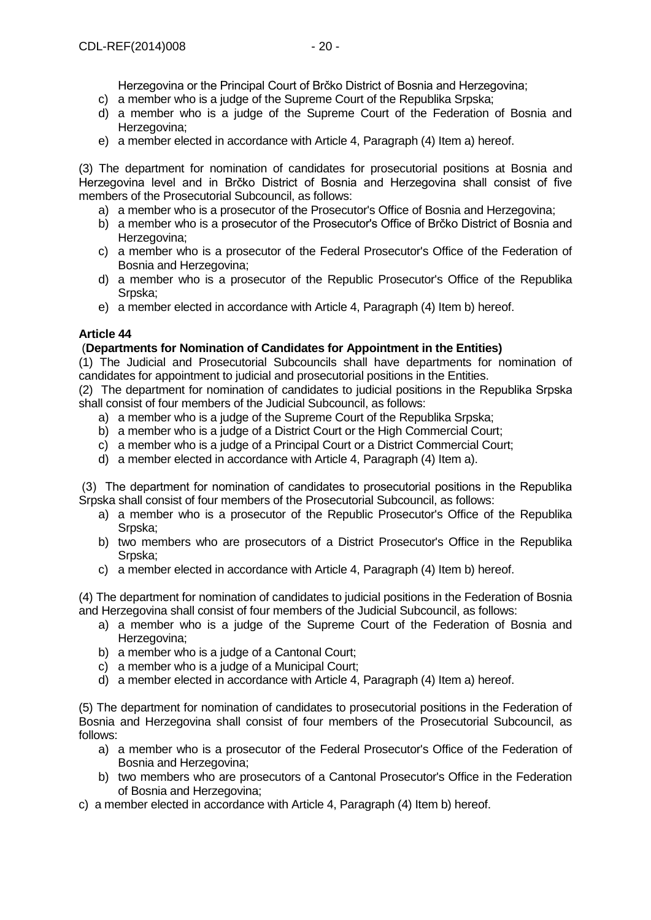Herzegovina or the Principal Court of Brčko District of Bosnia and Herzegovina;

- c) a member who is a judge of the Supreme Court of the Republika Srpska;
- d) a member who is a judge of the Supreme Court of the Federation of Bosnia and Herzegovina:
- e) a member elected in accordance with Article 4, Paragraph (4) Item a) hereof.

(3) The department for nomination of candidates for prosecutorial positions at Bosnia and Herzegovina level and in Brčko District of Bosnia and Herzegovina shall consist of five members of the Prosecutorial Subcouncil, as follows:

- a) a member who is a prosecutor of the Prosecutor's Office of Bosnia and Herzegovina;
- b) a member who is a prosecutor of the Prosecutor's Office of Brčko District of Bosnia and Herzegovina;
- c) a member who is a prosecutor of the Federal Prosecutor's Office of the Federation of Bosnia and Herzegovina;
- d) a member who is a prosecutor of the Republic Prosecutor's Office of the Republika Srpska;
- e) a member elected in accordance with Article 4, Paragraph (4) Item b) hereof.

### **Article 44**

### (**Departments for Nomination of Candidates for Appointment in the Entities)**

(1) The Judicial and Prosecutorial Subcouncils shall have departments for nomination of candidates for appointment to judicial and prosecutorial positions in the Entities.

(2) The department for nomination of candidates to judicial positions in the Rеpublika Srpska shall consist of four members of the Judicial Subcouncil, as follows:

- a) a member who is a judge of the Supreme Court of the Republika Srpska;
- b) a member who is a judge of a District Court or the High Commercial Court;
- c) a member who is a judge of a Principal Court or a District Commercial Court;
- d) a member elected in accordance with Article 4, Paragraph (4) Item a).

(3) The department for nomination of candidates to prosecutorial positions in the Rеpublika Srpska shall consist of four members of the Prosecutorial Subcouncil, as follows:

- a) a member who is a prosecutor of the Republic Prosecutor's Office of the Republika Srpska;
- b) two members who are prosecutors of a District Prosecutor's Office in the Republika Srpska;
- c) a member elected in accordance with Article 4, Paragraph (4) Item b) hereof.

(4) The department for nomination of candidates to judicial positions in the Federation of Bosnia and Herzegovina shall consist of four members of the Judicial Subcouncil, as follows:

- a) a member who is a judge of the Supreme Court of the Federation of Bosnia and Herzegovina;
- b) a member who is a judge of a Cantonal Court:
- c) a member who is a judge of a Municipal Court;
- d) a member elected in accordance with Article 4, Paragraph (4) Item a) hereof.

(5) The department for nomination of candidates to prosecutorial positions in the Federation of Bosnia and Herzegovina shall consist of four members of the Prosecutorial Subcouncil, as follows:

- a) a member who is a prosecutor of the Federal Prosecutor's Office of the Federation of Bosnia and Herzegovina;
- b) two members who are prosecutors of a Cantonal Prosecutor's Office in the Federation of Bosnia and Herzegovina;
- c) a member elected in accordance with Article 4, Paragraph (4) Item b) hereof.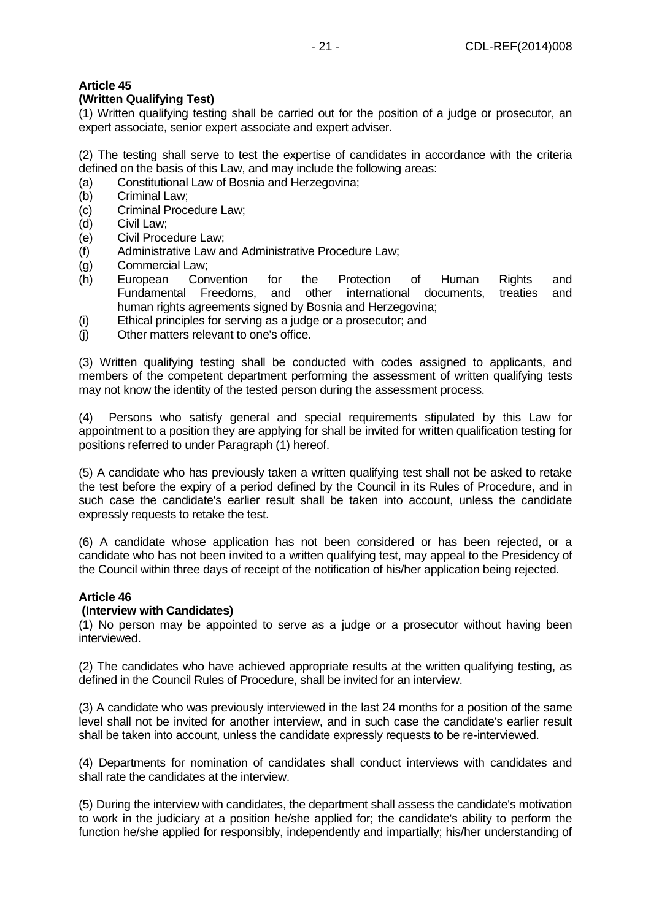# **(Written Qualifying Test)**

(1) Written qualifying testing shall be carried out for the position of a judge or prosecutor, an expert associate, senior expert associate and expert adviser.

(2) The testing shall serve to test the expertise of candidates in accordance with the criteria defined on the basis of this Law, and may include the following areas:

- (a) Constitutional Law of Bosnia and Herzegovina;
- (b) Criminal Law;
- (c) Criminal Procedure Law;
- (d) Civil Law;
- (e) Civil Procedure Law;
- (f) Administrative Law and Administrative Procedure Law;
- (g) Commercial Law;
- (h) European Convention for the Protection of Human Rights and Fundamental Freedoms, and other international documents, treaties and human rights agreements signed by Bosnia and Herzegovina;
- (i) Ethical principles for serving as a judge or a prosecutor; and
- (j) Other matters relevant to one's office.

(3) Written qualifying testing shall be conducted with codes assigned to applicants, and members of the competent department performing the assessment of written qualifying tests may not know the identity of the tested person during the assessment process.

(4) Persons who satisfy general and special requirements stipulated by this Law for appointment to a position they are applying for shall be invited for written qualification testing for positions referred to under Paragraph (1) hereof.

(5) A candidate who has previously taken a written qualifying test shall not be asked to retake the test before the expiry of a period defined by the Council in its Rules of Procedure, and in such case the candidate's earlier result shall be taken into account, unless the candidate expressly requests to retake the test.

(6) A candidate whose application has not been considered or has been rejected, or a candidate who has not been invited to a written qualifying test, may appeal to the Presidency of the Council within three days of receipt of the notification of his/her application being rejected.

# **Article 46**

# **(Interview with Candidates)**

(1) No person may be appointed to serve as a judge or a prosecutor without having been interviewed.

(2) The candidates who have achieved appropriate results at the written qualifying testing, as defined in the Council Rules of Procedure, shall be invited for an interview.

(3) A candidate who was previously interviewed in the last 24 months for a position of the same level shall not be invited for another interview, and in such case the candidate's earlier result shall be taken into account, unless the candidate expressly requests to be re-interviewed.

(4) Departments for nomination of candidates shall conduct interviews with candidates and shall rate the candidates at the interview.

(5) During the interview with candidates, the department shall assess the candidate's motivation to work in the judiciary at a position he/she applied for; the candidate's ability to perform the function he/she applied for responsibly, independently and impartially; his/her understanding of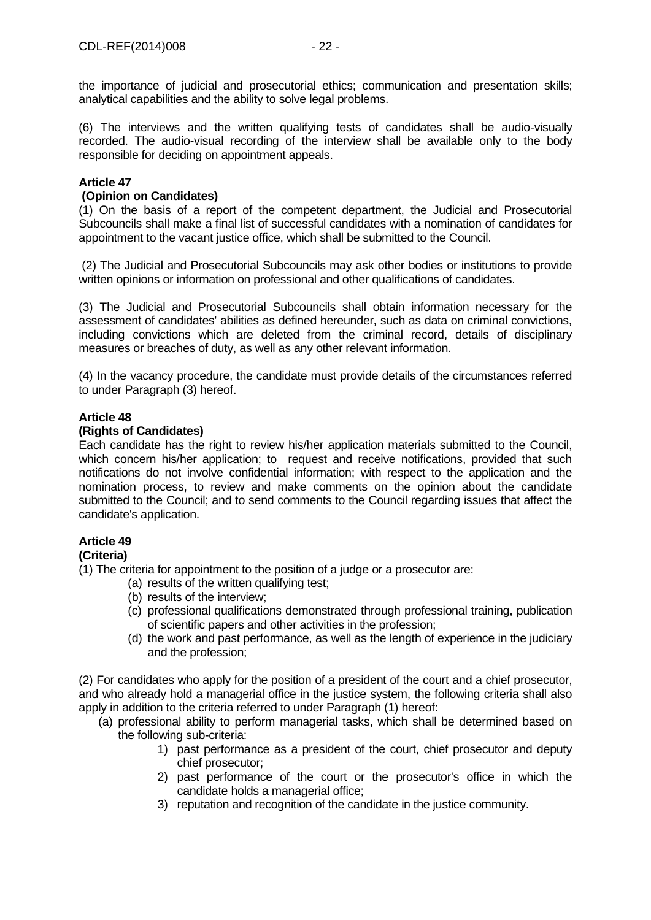the importance of judicial and prosecutorial ethics; communication and presentation skills; analytical capabilities and the ability to solve legal problems.

(6) The interviews and the written qualifying tests of candidates shall be audio-visually recorded. The audio-visual recording of the interview shall be available only to the body responsible for deciding on appointment appeals.

# **Article 47**

### **(Opinion on Candidates)**

(1) On the basis of a report of the competent department, the Judicial and Prosecutorial Subcouncils shall make a final list of successful candidates with a nomination of candidates for appointment to the vacant justice office, which shall be submitted to the Council.

(2) The Judicial and Prosecutorial Subcouncils may ask other bodies or institutions to provide written opinions or information on professional and other qualifications of candidates.

(3) The Judicial and Prosecutorial Subcouncils shall obtain information necessary for the assessment of candidates' abilities as defined hereunder, such as data on criminal convictions, including convictions which are deleted from the criminal record, details of disciplinary measures or breaches of duty, as well as any other relevant information.

(4) In the vacancy procedure, the candidate must provide details of the circumstances referred to under Paragraph (3) hereof.

### **Article 48**

### **(Rights of Candidates)**

Each candidate has the right to review his/her application materials submitted to the Council, which concern his/her application; to request and receive notifications, provided that such notifications do not involve confidential information; with respect to the application and the nomination process, to review and make comments on the opinion about the candidate submitted to the Council; and to send comments to the Council regarding issues that affect the candidate's application.

# **Article 49**

### **(Criteria)**

(1) The criteria for appointment to the position of a judge or a prosecutor are:

- (a) results of the written qualifying test;
- (b) results of the interview;
- (c) professional qualifications demonstrated through professional training, publication of scientific papers and other activities in the profession;
- (d) the work and past performance, as well as the length of experience in the judiciary and the profession;

(2) For candidates who apply for the position of a president of the court and a chief prosecutor, and who already hold a managerial office in the justice system, the following criteria shall also apply in addition to the criteria referred to under Paragraph (1) hereof:

- (a) professional ability to perform managerial tasks, which shall be determined based on the following sub-criteria:
	- 1) past performance as a president of the court, chief prosecutor and deputy chief prosecutor;
	- 2) past performance of the court or the prosecutor's office in which the candidate holds a managerial office;
	- 3) reputation and recognition of the candidate in the justice community.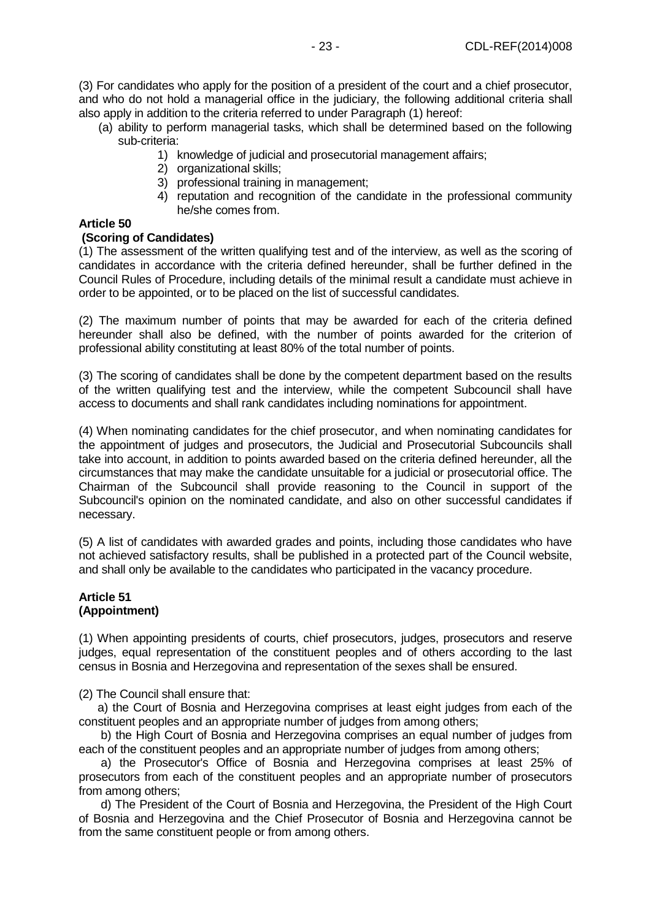(3) For candidates who apply for the position of a president of the court and a chief prosecutor, and who do not hold a managerial office in the judiciary, the following additional criteria shall also apply in addition to the criteria referred to under Paragraph (1) hereof:

- (a) ability to perform managerial tasks, which shall be determined based on the following sub-criteria:
	- 1) knowledge of judicial and prosecutorial management affairs;
	- 2) organizational skills;
	- 3) professional training in management;
	- 4) reputation and recognition of the candidate in the professional community he/she comes from.

### **Article 50**

### **(Scoring of Candidates)**

(1) The assessment of the written qualifying test and of the interview, as well as the scoring of candidates in accordance with the criteria defined hereunder, shall be further defined in the Council Rules of Procedure, including details of the minimal result a candidate must achieve in order to be appointed, or to be placed on the list of successful candidates.

(2) The maximum number of points that may be awarded for each of the criteria defined hereunder shall also be defined, with the number of points awarded for the criterion of professional ability constituting at least 80% of the total number of points.

(3) The scoring of candidates shall be done by the competent department based on the results of the written qualifying test and the interview, while the competent Subcouncil shall have access to documents and shall rank candidates including nominations for appointment.

(4) When nominating candidates for the chief prosecutor, and when nominating candidates for the appointment of judges and prosecutors, the Judicial and Prosecutorial Subcouncils shall take into account, in addition to points awarded based on the criteria defined hereunder, all the circumstances that may make the candidate unsuitable for a judicial or prosecutorial office. The Chairman of the Subcouncil shall provide reasoning to the Council in support of the Subcouncil's opinion on the nominated candidate, and also on other successful candidates if necessary.

(5) A list of candidates with awarded grades and points, including those candidates who have not achieved satisfactory results, shall be published in a protected part of the Council website, and shall only be available to the candidates who participated in the vacancy procedure.

# **Article 51 (Appointment)**

(1) When appointing presidents of courts, chief prosecutors, judges, prosecutors and reserve judges, equal representation of the constituent peoples and of others according to the last census in Bosnia and Herzegovina and representation of the sexes shall be ensured.

(2) The Council shall ensure that:

 a) the Court of Bosnia and Herzegovina comprises at least eight judges from each of the constituent peoples and an appropriate number of judges from among others;

 b) the High Court of Bosnia and Herzegovina comprises an equal number of judges from each of the constituent peoples and an appropriate number of judges from among others;

 a) the Prosecutor's Office of Bosnia and Herzegovina comprises at least 25% of prosecutors from each of the constituent peoples and an appropriate number of prosecutors from among others;

 d) The President of the Court of Bosnia and Herzegovina, the President of the High Court of Bosnia and Herzegovina and the Chief Prosecutor of Bosnia and Herzegovina cannot be from the same constituent people or from among others.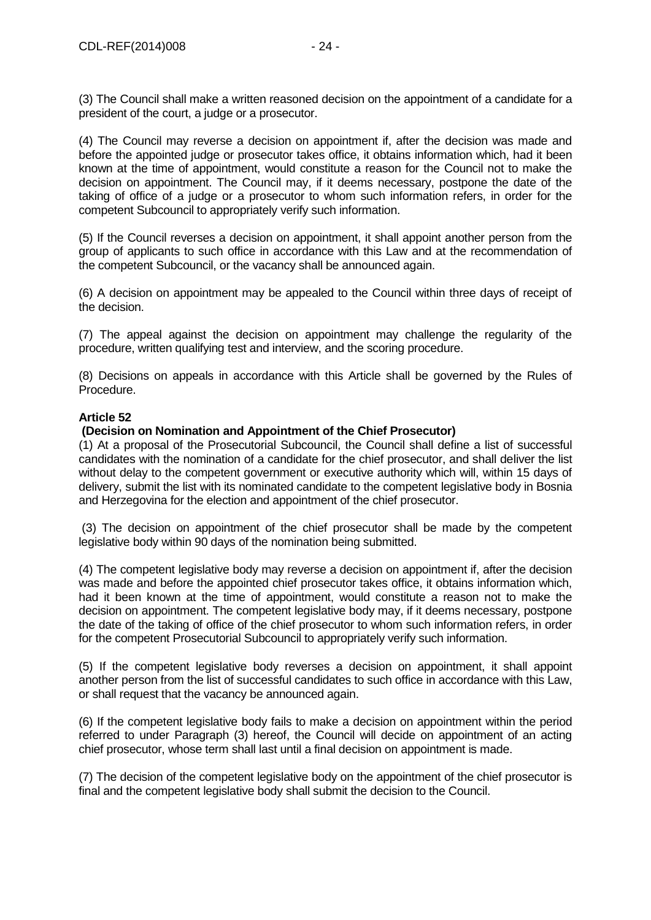(4) The Council may reverse a decision on appointment if, after the decision was made and before the appointed judge or prosecutor takes office, it obtains information which, had it been known at the time of appointment, would constitute a reason for the Council not to make the decision on appointment. The Council may, if it deems necessary, postpone the date of the taking of office of a judge or a prosecutor to whom such information refers, in order for the competent Subcouncil to appropriately verify such information.

(5) If the Council reverses a decision on appointment, it shall appoint another person from the group of applicants to such office in accordance with this Law and at the recommendation of the competent Subcouncil, or the vacancy shall be announced again.

(6) A decision on appointment may be appealed to the Council within three days of receipt of the decision.

(7) The appeal against the decision on appointment may challenge the regularity of the procedure, written qualifying test and interview, and the scoring procedure.

(8) Decisions on appeals in accordance with this Article shall be governed by the Rules of Procedure.

# **Article 52**

### **(Decision on Nomination and Appointment of the Chief Prosecutor)**

(1) At a proposal of the Prosecutorial Subcouncil, the Council shall define a list of successful candidates with the nomination of a candidate for the chief prosecutor, and shall deliver the list without delay to the competent government or executive authority which will, within 15 days of delivery, submit the list with its nominated candidate to the competent legislative body in Bosnia and Herzegovina for the election and appointment of the chief prosecutor.

(3) The decision on appointment of the chief prosecutor shall be made by the competent legislative body within 90 days of the nomination being submitted.

(4) The competent legislative body may reverse a decision on appointment if, after the decision was made and before the appointed chief prosecutor takes office, it obtains information which, had it been known at the time of appointment, would constitute a reason not to make the decision on appointment. The competent legislative body may, if it deems necessary, postpone the date of the taking of office of the chief prosecutor to whom such information refers, in order for the competent Prosecutorial Subcouncil to appropriately verify such information.

(5) If the competent legislative body reverses a decision on appointment, it shall appoint another person from the list of successful candidates to such office in accordance with this Law, or shall request that the vacancy be announced again.

(6) If the competent legislative body fails to make a decision on appointment within the period referred to under Paragraph (3) hereof, the Council will decide on appointment of an acting chief prosecutor, whose term shall last until a final decision on appointment is made.

(7) The decision of the competent legislative body on the appointment of the chief prosecutor is final and the competent legislative body shall submit the decision to the Council.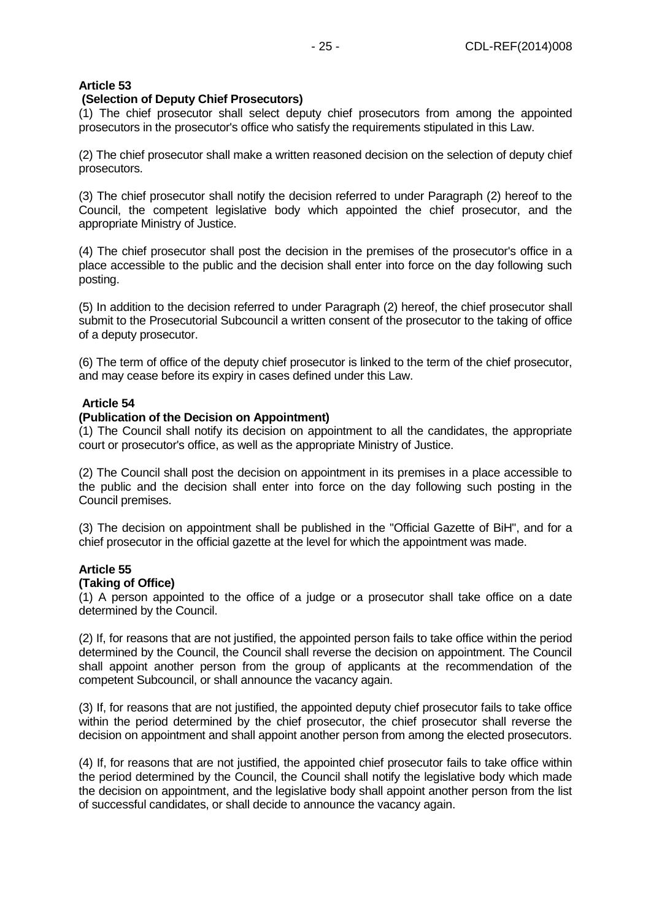### **(Selection of Deputy Chief Prosecutors)**

(1) The chief prosecutor shall select deputy chief prosecutors from among the appointed prosecutors in the prosecutor's office who satisfy the requirements stipulated in this Law.

(2) The chief prosecutor shall make a written reasoned decision on the selection of deputy chief prosecutors.

(3) The chief prosecutor shall notify the decision referred to under Paragraph (2) hereof to the Council, the competent legislative body which appointed the chief prosecutor, and the appropriate Ministry of Justice.

(4) The chief prosecutor shall post the decision in the premises of the prosecutor's office in a place accessible to the public and the decision shall enter into force on the day following such posting.

(5) In addition to the decision referred to under Paragraph (2) hereof, the chief prosecutor shall submit to the Prosecutorial Subcouncil a written consent of the prosecutor to the taking of office of a deputy prosecutor.

(6) The term of office of the deputy chief prosecutor is linked to the term of the chief prosecutor, and may cease before its expiry in cases defined under this Law.

### **Article 54**

### **(Publication of the Decision on Appointment)**

(1) The Council shall notify its decision on appointment to all the candidates, the appropriate court or prosecutor's office, as well as the appropriate Ministry of Justice.

(2) The Council shall post the decision on appointment in its premises in a place accessible to the public and the decision shall enter into force on the day following such posting in the Council premises.

(3) The decision on appointment shall be published in the "Official Gazette of BiH", and for a chief prosecutor in the official gazette at the level for which the appointment was made.

### **Article 55**

### **(Taking of Office)**

(1) A person appointed to the office of a judge or a prosecutor shall take office on a date determined by the Council.

(2) If, for reasons that are not justified, the appointed person fails to take office within the period determined by the Council, the Council shall reverse the decision on appointment. The Council shall appoint another person from the group of applicants at the recommendation of the competent Subcouncil, or shall announce the vacancy again.

(3) If, for reasons that are not justified, the appointed deputy chief prosecutor fails to take office within the period determined by the chief prosecutor, the chief prosecutor shall reverse the decision on appointment and shall appoint another person from among the elected prosecutors.

(4) If, for reasons that are not justified, the appointed chief prosecutor fails to take office within the period determined by the Council, the Council shall notify the legislative body which made the decision on appointment, and the legislative body shall appoint another person from the list of successful candidates, or shall decide to announce the vacancy again.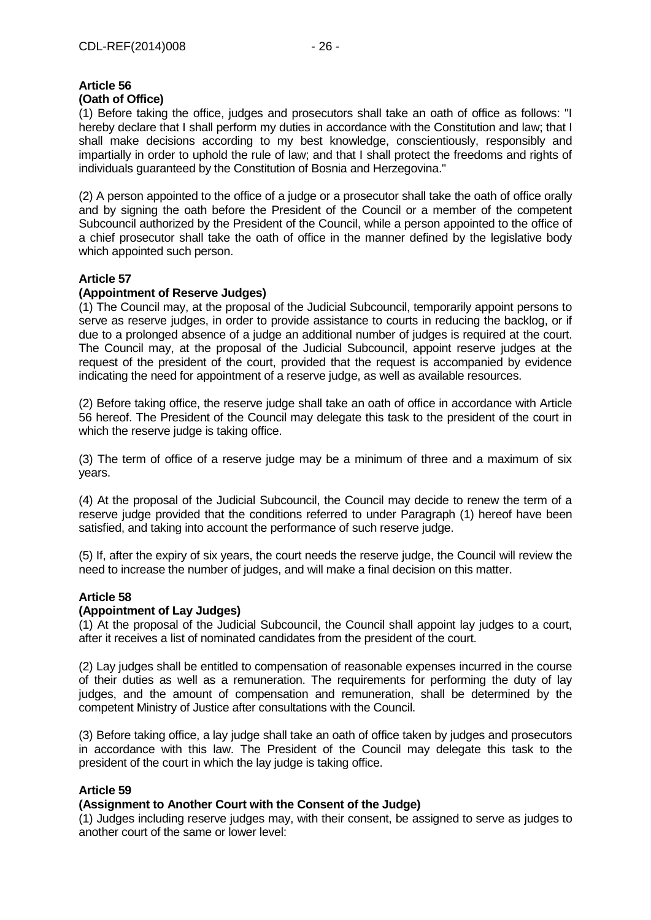### **Article 56 (Oath of Office)**

(1) Before taking the office, judges and prosecutors shall take an oath of office as follows: "I hereby declare that I shall perform my duties in accordance with the Constitution and law; that I shall make decisions according to my best knowledge, conscientiously, responsibly and impartially in order to uphold the rule of law; and that I shall protect the freedoms and rights of individuals guaranteed by the Constitution of Bosnia and Herzegovina."

(2) A person appointed to the office of a judge or a prosecutor shall take the oath of office orally and by signing the oath before the President of the Council or a member of the competent Subcouncil authorized by the President of the Council, while a person appointed to the office of a chief prosecutor shall take the oath of office in the manner defined by the legislative body which appointed such person.

# **Article 57**

# **(Appointment of Reserve Judges)**

(1) The Council may, at the proposal of the Judicial Subcouncil, temporarily appoint persons to serve as reserve judges, in order to provide assistance to courts in reducing the backlog, or if due to a prolonged absence of a judge an additional number of judges is required at the court. The Council may, at the proposal of the Judicial Subcouncil, appoint reserve judges at the request of the president of the court, provided that the request is accompanied by evidence indicating the need for appointment of a reserve judge, as well as available resources.

(2) Before taking office, the reserve judge shall take an oath of office in accordance with Article 56 hereof. The President of the Council may delegate this task to the president of the court in which the reserve judge is taking office.

(3) The term of office of a reserve judge may be a minimum of three and a maximum of six years.

(4) At the proposal of the Judicial Subcouncil, the Council may decide to renew the term of a reserve judge provided that the conditions referred to under Paragraph (1) hereof have been satisfied, and taking into account the performance of such reserve judge.

(5) If, after the expiry of six years, the court needs the reserve judge, the Council will review the need to increase the number of judges, and will make a final decision on this matter.

# **Article 58**

# **(Appointment of Lay Judges)**

(1) At the proposal of the Judicial Subcouncil, the Council shall appoint lay judges to a court, after it receives a list of nominated candidates from the president of the court.

(2) Lay judges shall be entitled to compensation of reasonable expenses incurred in the course of their duties as well as a remuneration. The requirements for performing the duty of lay judges, and the amount of compensation and remuneration, shall be determined by the competent Ministry of Justice after consultations with the Council.

(3) Before taking office, a lay judge shall take an oath of office taken by judges and prosecutors in accordance with this law. The President of the Council may delegate this task to the president of the court in which the lay judge is taking office.

# **Article 59**

# **(Assignment to Another Court with the Consent of the Judge)**

(1) Judges including reserve judges may, with their consent, be assigned to serve as judges to another court of the same or lower level: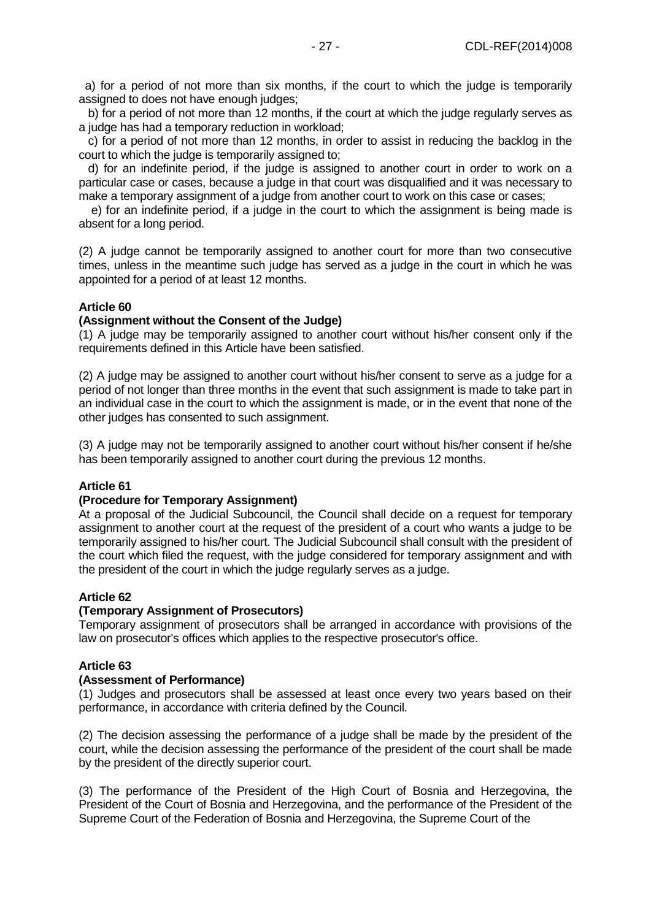a) for a period of not more than six months, if the court to which the judge is temporarily assigned to does not have enough judges;

 b) for a period of not more than 12 months, if the court at which the judge regularly serves as a judge has had a temporary reduction in workload;

 c) for a period of not more than 12 months, in order to assist in reducing the backlog in the court to which the judge is temporarily assigned to;

 d) for an indefinite period, if the judge is assigned to another court in order to work on a particular case or cases, because a judge in that court was disqualified and it was necessary to make a temporary assignment of a judge from another court to work on this case or cases;

 e) for an indefinite period, if a judge in the court to which the assignment is being made is absent for a long period.

(2) A judge cannot be temporarily assigned to another court for more than two consecutive times, unless in the meantime such judge has served as a judge in the court in which he was appointed for a period of at least 12 months.

### **Article 60**

### **(Assignment without the Consent of the Judge)**

(1) A judge may be temporarily assigned to another court without his/her consent only if the requirements defined in this Article have been satisfied.

(2) A judge may be assigned to another court without his/her consent to serve as a judge for a period of not longer than three months in the event that such assignment is made to take part in an individual case in the court to which the assignment is made, or in the event that none of the other judges has consented to such assignment.

(3) A judge may not be temporarily assigned to another court without his/her consent if he/she has been temporarily assigned to another court during the previous 12 months.

### **Article 61**

### **(Procedure for Temporary Assignment)**

At a proposal of the Judicial Subcouncil, the Council shall decide on a request for temporary assignment to another court at the request of the president of a court who wants a judge to be temporarily assigned to his/her court. The Judicial Subcouncil shall consult with the president of the court which filed the request, with the judge considered for temporary assignment and with the president of the court in which the judge regularly serves as a judge.

### **Article 62**

### **(Temporary Assignment of Prosecutors)**

Temporary assignment of prosecutors shall be arranged in accordance with provisions of the law on prosecutor's offices which applies to the respective prosecutor's office.

### **Article 63**

### **(Assessment of Performance)**

(1) Judges and prosecutors shall be assessed at least once every two years based on their performance, in accordance with criteria defined by the Council.

(2) The decision assessing the performance of a judge shall be made by the president of the court, while the decision assessing the performance of the president of the court shall be made by the president of the directly superior court.

(3) The performance of the President of the High Court of Bosnia and Herzegovina, the President of the Court of Bosnia and Herzegovina, and the performance of the President of the Supreme Court of the Federation of Bosnia and Herzegovina, the Supreme Court of the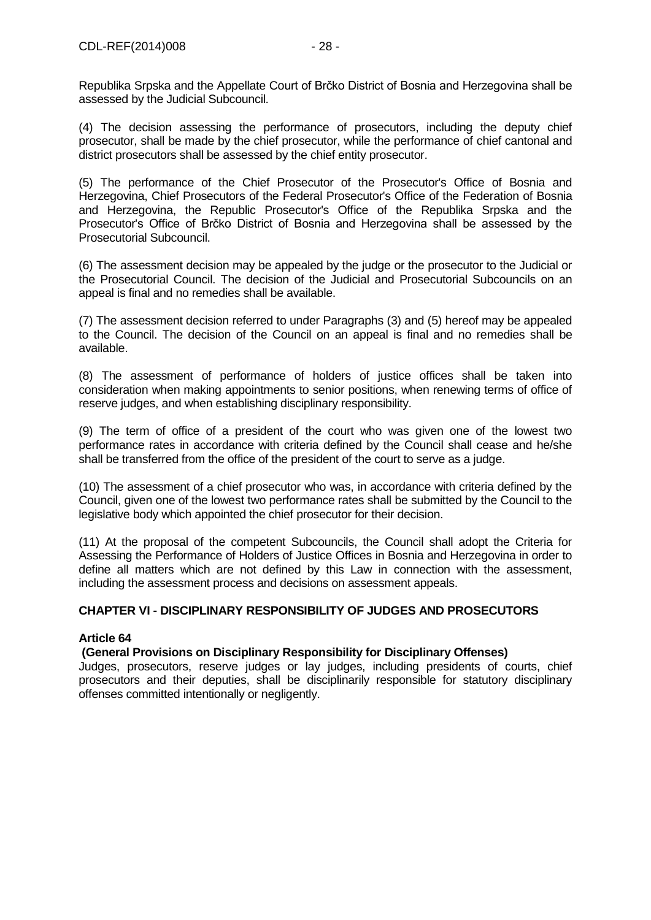Republika Srpska and the Appellate Court of Brčko District of Bosnia and Herzegovina shall be assessed by the Judicial Subcouncil.

(4) The decision assessing the performance of prosecutors, including the deputy chief prosecutor, shall be made by the chief prosecutor, while the performance of chief cantonal and district prosecutors shall be assessed by the chief entity prosecutor.

(5) The performance of the Chief Prosecutor of the Prosecutor's Office of Bosnia and Herzegovina, Chief Prosecutors of the Federal Prosecutor's Office of the Federation of Bosnia and Herzegovina, the Republic Prosecutor's Office of the Republika Srpska and the Prosecutor's Office of Brčko District of Bosnia and Herzegovina shall be assessed by the Prosecutorial Subcouncil.

(6) The assessment decision may be appealed by the judge or the prosecutor to the Judicial or the Prosecutorial Council. The decision of the Judicial and Prosecutorial Subcouncils on an appeal is final and no remedies shall be available.

(7) The assessment decision referred to under Paragraphs (3) and (5) hereof may be appealed to the Council. The decision of the Council on an appeal is final and no remedies shall be available.

(8) The assessment of performance of holders of justice offices shall be taken into consideration when making appointments to senior positions, when renewing terms of office of reserve judges, and when establishing disciplinary responsibility.

(9) The term of office of a president of the court who was given one of the lowest two performance rates in accordance with criteria defined by the Council shall cease and he/she shall be transferred from the office of the president of the court to serve as a judge.

(10) The assessment of a chief prosecutor who was, in accordance with criteria defined by the Council, given one of the lowest two performance rates shall be submitted by the Council to the legislative body which appointed the chief prosecutor for their decision.

(11) At the proposal of the competent Subcouncils, the Council shall adopt the Criteria for Assessing the Performance of Holders of Justice Offices in Bosnia and Herzegovina in order to define all matters which are not defined by this Law in connection with the assessment, including the assessment process and decisions on assessment appeals.

# **CHAPTER VI - DISCIPLINARY RESPONSIBILITY OF JUDGES AND PROSECUTORS**

# **Article 64**

# **(General Provisions on Disciplinary Responsibility for Disciplinary Offenses)**

Judges, prosecutors, reserve judges or lay judges, including presidents of courts, chief prosecutors and their deputies, shall be disciplinarily responsible for statutory disciplinary offenses committed intentionally or negligently.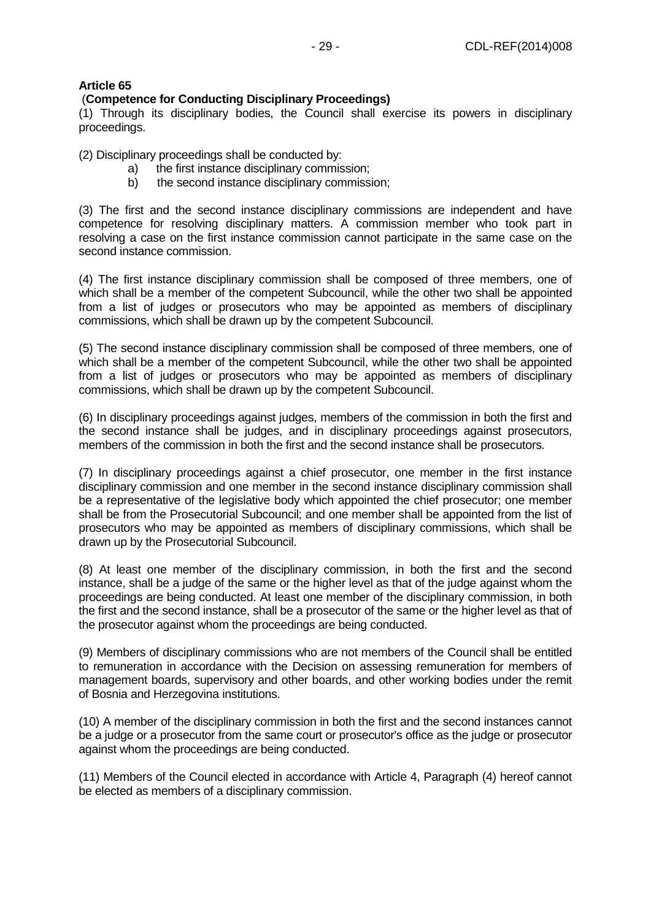### (**Competence for Conducting Disciplinary Proceedings)**

(1) Through its disciplinary bodies, the Council shall exercise its powers in disciplinary proceedings.

(2) Disciplinary proceedings shall be conducted by:

- a) the first instance disciplinary commission;
- b) the second instance disciplinary commission;

(3) The first and the second instance disciplinary commissions are independent and have competence for resolving disciplinary matters. A commission member who took part in resolving a case on the first instance commission cannot participate in the same case on the second instance commission.

(4) The first instance disciplinary commission shall be composed of three members, one of which shall be a member of the competent Subcouncil, while the other two shall be appointed from a list of judges or prosecutors who may be appointed as members of disciplinary commissions, which shall be drawn up by the competent Subcouncil.

(5) The second instance disciplinary commission shall be composed of three members, one of which shall be a member of the competent Subcouncil, while the other two shall be appointed from a list of judges or prosecutors who may be appointed as members of disciplinary commissions, which shall be drawn up by the competent Subcouncil.

(6) In disciplinary proceedings against judges, members of the commission in both the first and the second instance shall be judges, and in disciplinary proceedings against prosecutors, members of the commission in both the first and the second instance shall be prosecutors.

(7) In disciplinary proceedings against a chief prosecutor, one member in the first instance disciplinary commission and one member in the second instance disciplinary commission shall be a representative of the legislative body which appointed the chief prosecutor; one member shall be from the Prosecutorial Subcouncil; and one member shall be appointed from the list of prosecutors who may be appointed as members of disciplinary commissions, which shall be drawn up by the Prosecutorial Subcouncil.

(8) At least one member of the disciplinary commission, in both the first and the second instance, shall be a judge of the same or the higher level as that of the judge against whom the proceedings are being conducted. At least one member of the disciplinary commission, in both the first and the second instance, shall be a prosecutor of the same or the higher level as that of the prosecutor against whom the proceedings are being conducted.

(9) Members of disciplinary commissions who are not members of the Council shall be entitled to remuneration in accordance with the Decision on assessing remuneration for members of management boards, supervisory and other boards, and other working bodies under the remit of Bosnia and Herzegovina institutions.

(10) A member of the disciplinary commission in both the first and the second instances cannot be a judge or a prosecutor from the same court or prosecutor's office as the judge or prosecutor against whom the proceedings are being conducted.

(11) Members of the Council elected in accordance with Article 4, Paragraph (4) hereof cannot be elected as members of a disciplinary commission.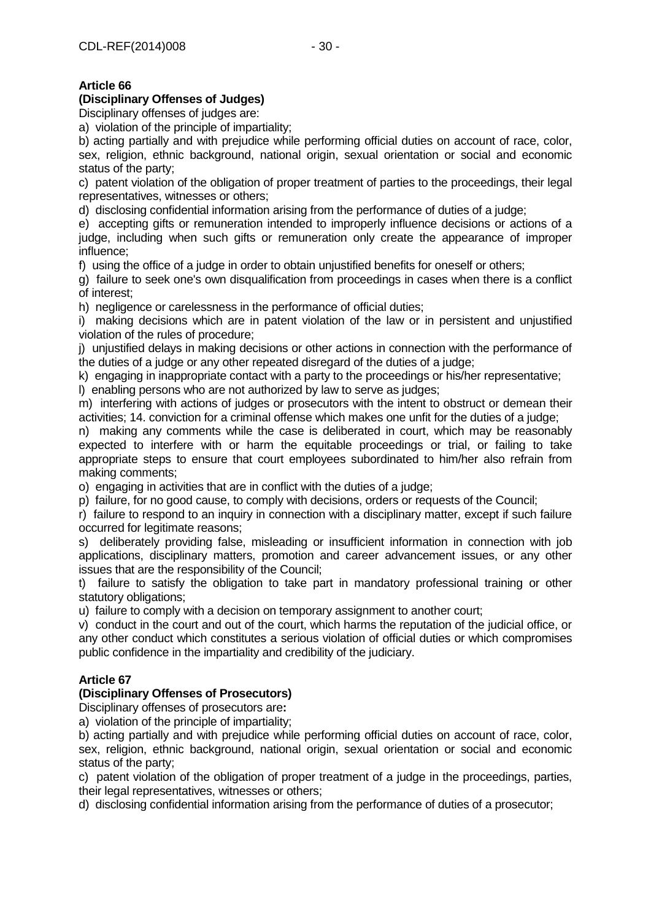# **(Disciplinary Offenses of Judges)**

Disciplinary offenses of judges are:

a) violation of the principle of impartiality;

b) acting partially and with prejudice while performing official duties on account of race, color, sex, religion, ethnic background, national origin, sexual orientation or social and economic status of the party;

c) patent violation of the obligation of proper treatment of parties to the proceedings, their legal representatives, witnesses or others;

d) disclosing confidential information arising from the performance of duties of a judge;

e) accepting gifts or remuneration intended to improperly influence decisions or actions of a judge, including when such gifts or remuneration only create the appearance of improper influence;

f) using the office of a judge in order to obtain unjustified benefits for oneself or others;

g) failure to seek one's own disqualification from proceedings in cases when there is a conflict of interest;

h) negligence or carelessness in the performance of official duties;

i) making decisions which are in patent violation of the law or in persistent and unjustified violation of the rules of procedure;

j) unjustified delays in making decisions or other actions in connection with the performance of the duties of a judge or any other repeated disregard of the duties of a judge;

k) engaging in inappropriate contact with a party to the proceedings or his/her representative;

l) enabling persons who are not authorized by law to serve as judges;

m) interfering with actions of judges or prosecutors with the intent to obstruct or demean their activities; 14. conviction for a criminal offense which makes one unfit for the duties of a judge;

n) making any comments while the case is deliberated in court, which may be reasonably expected to interfere with or harm the equitable proceedings or trial, or failing to take appropriate steps to ensure that court employees subordinated to him/her also refrain from making comments;

o) engaging in activities that are in conflict with the duties of a judge;

p) failure, for no good cause, to comply with decisions, orders or requests of the Council;

r) failure to respond to an inquiry in connection with a disciplinary matter, except if such failure occurred for legitimate reasons;

s) deliberately providing false, misleading or insufficient information in connection with job applications, disciplinary matters, promotion and career advancement issues, or any other issues that are the responsibility of the Council;

t) failure to satisfy the obligation to take part in mandatory professional training or other statutory obligations;

u) failure to comply with a decision on temporary assignment to another court;

v) conduct in the court and out of the court, which harms the reputation of the judicial office, or any other conduct which constitutes a serious violation of official duties or which compromises public confidence in the impartiality and credibility of the judiciary.

# **Article 67**

# **(Disciplinary Offenses of Prosecutors)**

Disciplinary offenses of prosecutors are**:** 

a) violation of the principle of impartiality;

b) acting partially and with prejudice while performing official duties on account of race, color, sex, religion, ethnic background, national origin, sexual orientation or social and economic status of the party;

c) patent violation of the obligation of proper treatment of a judge in the proceedings, parties, their legal representatives, witnesses or others;

d) disclosing confidential information arising from the performance of duties of a prosecutor;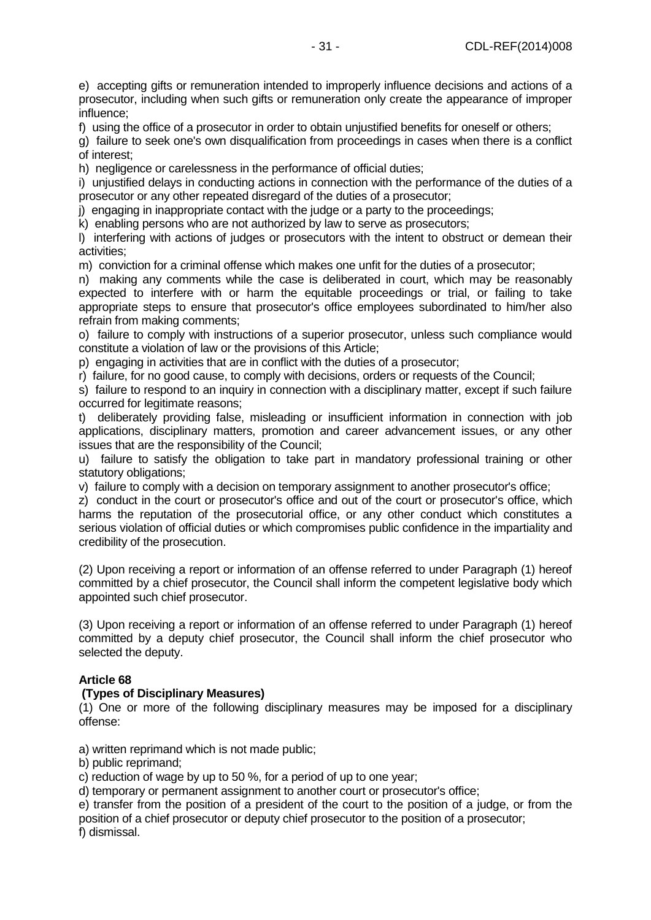e) accepting gifts or remuneration intended to improperly influence decisions and actions of a prosecutor, including when such gifts or remuneration only create the appearance of improper influence;

f) using the office of a prosecutor in order to obtain unjustified benefits for oneself or others;

g) failure to seek one's own disqualification from proceedings in cases when there is a conflict of interest;

h) negligence or carelessness in the performance of official duties;

i) unjustified delays in conducting actions in connection with the performance of the duties of a prosecutor or any other repeated disregard of the duties of a prosecutor;

j) engaging in inappropriate contact with the judge or a party to the proceedings;

k) enabling persons who are not authorized by law to serve as prosecutors;

l) interfering with actions of judges or prosecutors with the intent to obstruct or demean their activities;

m) conviction for a criminal offense which makes one unfit for the duties of a prosecutor;

n) making any comments while the case is deliberated in court, which may be reasonably expected to interfere with or harm the equitable proceedings or trial, or failing to take appropriate steps to ensure that prosecutor's office employees subordinated to him/her also refrain from making comments;

o) failure to comply with instructions of a superior prosecutor, unless such compliance would constitute a violation of law or the provisions of this Article;

p) engaging in activities that are in conflict with the duties of a prosecutor;

r) failure, for no good cause, to comply with decisions, orders or requests of the Council;

s) failure to respond to an inquiry in connection with a disciplinary matter, except if such failure occurred for legitimate reasons;

t) deliberately providing false, misleading or insufficient information in connection with job applications, disciplinary matters, promotion and career advancement issues, or any other issues that are the responsibility of the Council;

u) failure to satisfy the obligation to take part in mandatory professional training or other statutory obligations;

v) failure to comply with a decision on temporary assignment to another prosecutor's office;

z) conduct in the court or prosecutor's office and out of the court or prosecutor's office, which harms the reputation of the prosecutorial office, or any other conduct which constitutes a serious violation of official duties or which compromises public confidence in the impartiality and credibility of the prosecution.

(2) Upon receiving a report or information of an offense referred to under Paragraph (1) hereof committed by a chief prosecutor, the Council shall inform the competent legislative body which appointed such chief prosecutor.

(3) Upon receiving a report or information of an offense referred to under Paragraph (1) hereof committed by a deputy chief prosecutor, the Council shall inform the chief prosecutor who selected the deputy.

# **Article 68**

### **(Types of Disciplinary Measures)**

(1) One or more of the following disciplinary measures may be imposed for a disciplinary offense:

a) written reprimand which is not made public;

b) public reprimand;

c) reduction of wage by up to 50 %, for a period of up to one year;

d) temporary or permanent assignment to another court or prosecutor's office;

e) transfer from the position of a president of the court to the position of a judge, or from the position of a chief prosecutor or deputy chief prosecutor to the position of a prosecutor; f) dismissal.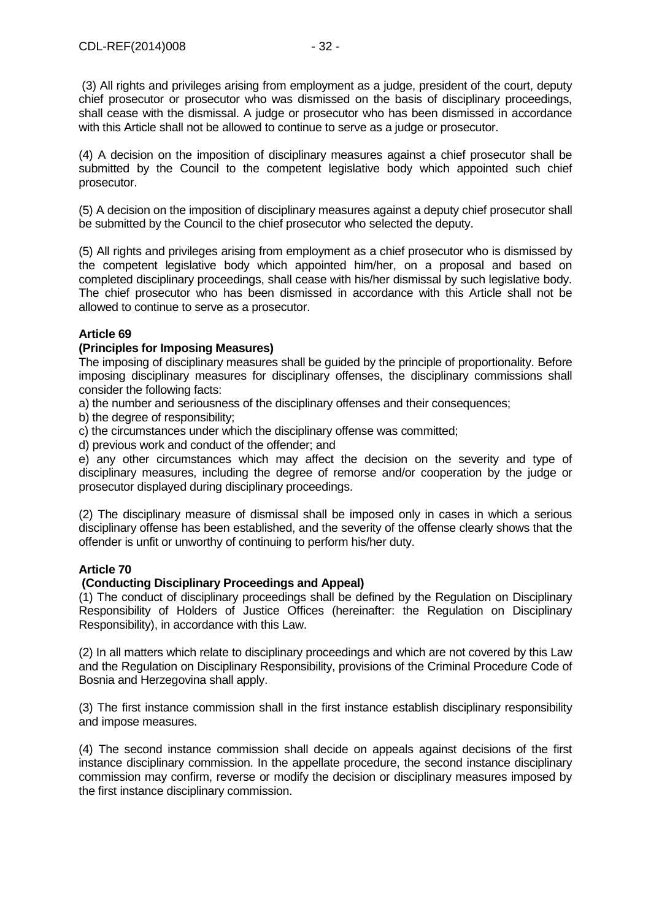(3) All rights and privileges arising from employment as a judge, president of the court, deputy chief prosecutor or prosecutor who was dismissed on the basis of disciplinary proceedings, shall cease with the dismissal. A judge or prosecutor who has been dismissed in accordance with this Article shall not be allowed to continue to serve as a judge or prosecutor.

(4) A decision on the imposition of disciplinary measures against a chief prosecutor shall be submitted by the Council to the competent legislative body which appointed such chief prosecutor.

(5) A decision on the imposition of disciplinary measures against a deputy chief prosecutor shall be submitted by the Council to the chief prosecutor who selected the deputy.

(5) All rights and privileges arising from employment as a chief prosecutor who is dismissed by the competent legislative body which appointed him/her, on a proposal and based on completed disciplinary proceedings, shall cease with his/her dismissal by such legislative body. The chief prosecutor who has been dismissed in accordance with this Article shall not be allowed to continue to serve as a prosecutor.

# **Article 69**

# **(Principles for Imposing Measures)**

The imposing of disciplinary measures shall be guided by the principle of proportionality. Before imposing disciplinary measures for disciplinary offenses, the disciplinary commissions shall consider the following facts:

a) the number and seriousness of the disciplinary offenses and their consequences;

b) the degree of responsibility;

c) the circumstances under which the disciplinary offense was committed;

d) previous work and conduct of the offender; and

e) any other circumstances which may affect the decision on the severity and type of disciplinary measures, including the degree of remorse and/or cooperation by the judge or prosecutor displayed during disciplinary proceedings.

(2) The disciplinary measure of dismissal shall be imposed only in cases in which a serious disciplinary offense has been established, and the severity of the offense clearly shows that the offender is unfit or unworthy of continuing to perform his/her duty.

# **Article 70**

# **(Conducting Disciplinary Proceedings and Appeal)**

(1) The conduct of disciplinary proceedings shall be defined by the Regulation on Disciplinary Responsibility of Holders of Justice Offices (hereinafter: the Regulation on Disciplinary Responsibility), in accordance with this Law.

(2) In all matters which relate to disciplinary proceedings and which are not covered by this Law and the Regulation on Disciplinary Responsibility, provisions of the Criminal Procedure Code of Bosnia and Herzegovina shall apply.

(3) The first instance commission shall in the first instance establish disciplinary responsibility and impose measures.

(4) The second instance commission shall decide on appeals against decisions of the first instance disciplinary commission. In the appellate procedure, the second instance disciplinary commission may confirm, reverse or modify the decision or disciplinary measures imposed by the first instance disciplinary commission.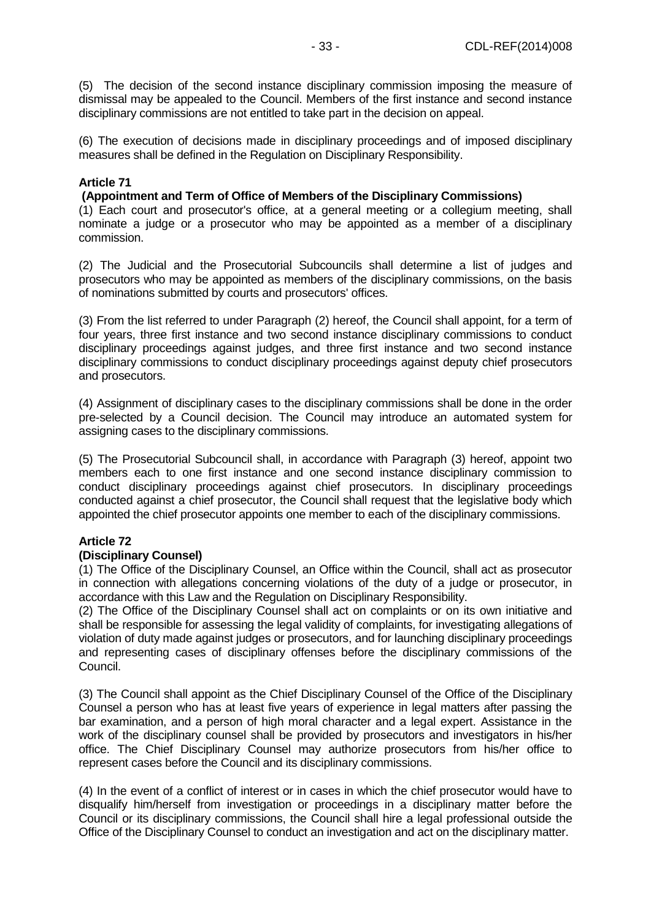(5) The decision of the second instance disciplinary commission imposing the measure of dismissal may be appealed to the Council. Members of the first instance and second instance disciplinary commissions are not entitled to take part in the decision on appeal.

(6) The execution of decisions made in disciplinary proceedings and of imposed disciplinary measures shall be defined in the Regulation on Disciplinary Responsibility.

# **Article 71**

### **(Appointment and Term of Office of Members of the Disciplinary Commissions)**

(1) Each court and prosecutor's office, at a general meeting or a collegium meeting, shall nominate a judge or a prosecutor who may be appointed as a member of a disciplinary commission.

(2) The Judicial and the Prosecutorial Subcouncils shall determine a list of judges and prosecutors who may be appointed as members of the disciplinary commissions, on the basis of nominations submitted by courts and prosecutors' offices.

(3) From the list referred to under Paragraph (2) hereof, the Council shall appoint, for a term of four years, three first instance and two second instance disciplinary commissions to conduct disciplinary proceedings against judges, and three first instance and two second instance disciplinary commissions to conduct disciplinary proceedings against deputy chief prosecutors and prosecutors.

(4) Assignment of disciplinary cases to the disciplinary commissions shall be done in the order pre-selected by a Council decision. The Council may introduce an automated system for assigning cases to the disciplinary commissions.

(5) The Prosecutorial Subcouncil shall, in accordance with Paragraph (3) hereof, appoint two members each to one first instance and one second instance disciplinary commission to conduct disciplinary proceedings against chief prosecutors. In disciplinary proceedings conducted against a chief prosecutor, the Council shall request that the legislative body which appointed the chief prosecutor appoints one member to each of the disciplinary commissions.

# **Article 72**

### **(Disciplinary Counsel)**

(1) The Office of the Disciplinary Counsel, an Office within the Council, shall act as prosecutor in connection with allegations concerning violations of the duty of a judge or prosecutor, in accordance with this Law and the Regulation on Disciplinary Responsibility.

(2) The Office of the Disciplinary Counsel shall act on complaints or on its own initiative and shall be responsible for assessing the legal validity of complaints, for investigating allegations of violation of duty made against judges or prosecutors, and for launching disciplinary proceedings and representing cases of disciplinary offenses before the disciplinary commissions of the Council.

(3) The Council shall appoint as the Chief Disciplinary Counsel of the Office of the Disciplinary Counsel a person who has at least five years of experience in legal matters after passing the bar examination, and a person of high moral character and a legal expert. Assistance in the work of the disciplinary counsel shall be provided by prosecutors and investigators in his/her office. The Chief Disciplinary Counsel may authorize prosecutors from his/her office to represent cases before the Council and its disciplinary commissions.

(4) In the event of a conflict of interest or in cases in which the chief prosecutor would have to disqualify him/herself from investigation or proceedings in a disciplinary matter before the Council or its disciplinary commissions, the Council shall hire a legal professional outside the Office of the Disciplinary Counsel to conduct an investigation and act on the disciplinary matter.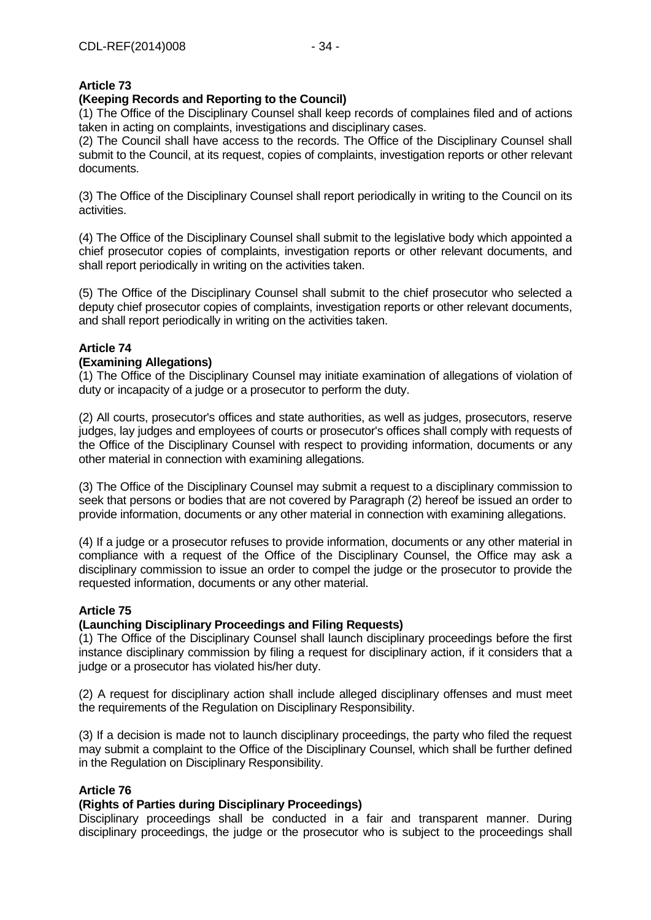# **(Keeping Records and Reporting to the Council)**

(1) The Office of the Disciplinary Counsel shall keep records of complaines filed and of actions taken in acting on complaints, investigations and disciplinary cases.

(2) The Council shall have access to the records. The Office of the Disciplinary Counsel shall submit to the Council, at its request, copies of complaints, investigation reports or other relevant documents.

(3) The Office of the Disciplinary Counsel shall report periodically in writing to the Council on its activities.

(4) The Office of the Disciplinary Counsel shall submit to the legislative body which appointed a chief prosecutor copies of complaints, investigation reports or other relevant documents, and shall report periodically in writing on the activities taken.

(5) The Office of the Disciplinary Counsel shall submit to the chief prosecutor who selected a deputy chief prosecutor copies of complaints, investigation reports or other relevant documents, and shall report periodically in writing on the activities taken.

# **Article 74**

### **(Examining Allegations)**

(1) The Office of the Disciplinary Counsel may initiate examination of allegations of violation of duty or incapacity of a judge or a prosecutor to perform the duty.

(2) All courts, prosecutor's offices and state authorities, as well as judges, prosecutors, reserve judges, lay judges and employees of courts or prosecutor's offices shall comply with requests of the Office of the Disciplinary Counsel with respect to providing information, documents or any other material in connection with examining allegations.

(3) The Office of the Disciplinary Counsel may submit a request to a disciplinary commission to seek that persons or bodies that are not covered by Paragraph (2) hereof be issued an order to provide information, documents or any other material in connection with examining allegations.

(4) If a judge or a prosecutor refuses to provide information, documents or any other material in compliance with a request of the Office of the Disciplinary Counsel, the Office may ask a disciplinary commission to issue an order to compel the judge or the prosecutor to provide the requested information, documents or any other material.

# **Article 75**

### **(Launching Disciplinary Proceedings and Filing Requests)**

(1) The Office of the Disciplinary Counsel shall launch disciplinary proceedings before the first instance disciplinary commission by filing a request for disciplinary action, if it considers that a judge or a prosecutor has violated his/her duty.

(2) A request for disciplinary action shall include alleged disciplinary offenses and must meet the requirements of the Regulation on Disciplinary Responsibility.

(3) If a decision is made not to launch disciplinary proceedings, the party who filed the request may submit a complaint to the Office of the Disciplinary Counsel, which shall be further defined in the Regulation on Disciplinary Responsibility.

# **Article 76**

# **(Rights of Parties during Disciplinary Proceedings)**

Disciplinary proceedings shall be conducted in a fair and transparent manner. During disciplinary proceedings, the judge or the prosecutor who is subject to the proceedings shall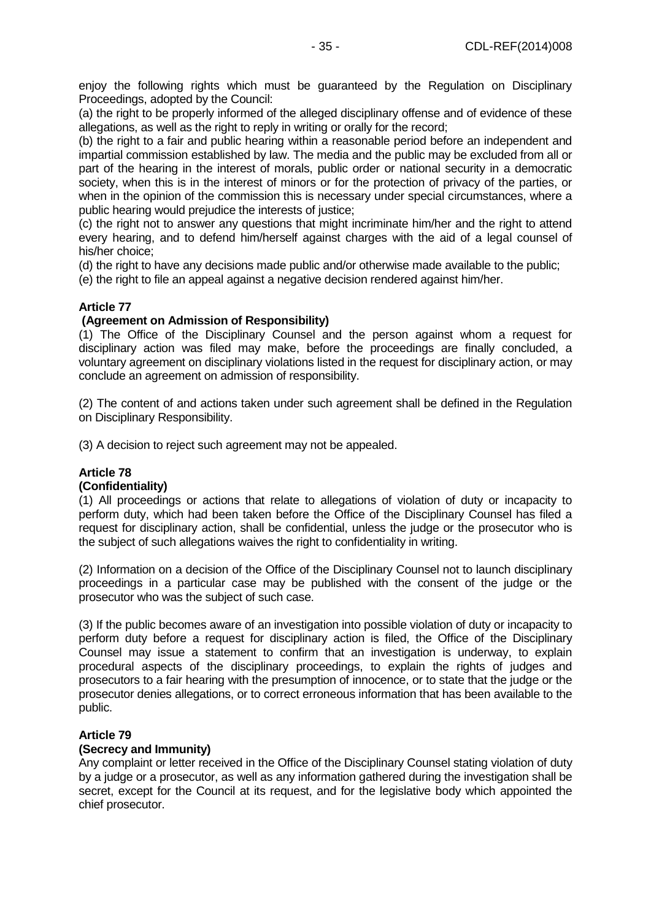enjoy the following rights which must be guaranteed by the Regulation on Disciplinary Proceedings, adopted by the Council:

(a) the right to be properly informed of the alleged disciplinary offense and of evidence of these allegations, as well as the right to reply in writing or orally for the record;

(b) the right to a fair and public hearing within a reasonable period before an independent and impartial commission established by law. The media and the public may be excluded from all or part of the hearing in the interest of morals, public order or national security in a democratic society, when this is in the interest of minors or for the protection of privacy of the parties, or when in the opinion of the commission this is necessary under special circumstances, where a public hearing would prejudice the interests of justice;

(c) the right not to answer any questions that might incriminate him/her and the right to attend every hearing, and to defend him/herself against charges with the aid of a legal counsel of his/her choice;

(d) the right to have any decisions made public and/or otherwise made available to the public;

(e) the right to file an appeal against a negative decision rendered against him/her.

# **Article 77**

### **(Agreement on Admission of Responsibility)**

(1) The Office of the Disciplinary Counsel and the person against whom a request for disciplinary action was filed may make, before the proceedings are finally concluded, a voluntary agreement on disciplinary violations listed in the request for disciplinary action, or may conclude an agreement on admission of responsibility.

(2) The content of and actions taken under such agreement shall be defined in the Regulation on Disciplinary Responsibility.

(3) A decision to reject such agreement may not be appealed.

### **Article 78**

### **(Confidentiality)**

(1) All proceedings or actions that relate to allegations of violation of duty or incapacity to perform duty, which had been taken before the Office of the Disciplinary Counsel has filed a request for disciplinary action, shall be confidential, unless the judge or the prosecutor who is the subject of such allegations waives the right to confidentiality in writing.

(2) Information on a decision of the Office of the Disciplinary Counsel not to launch disciplinary proceedings in a particular case may be published with the consent of the judge or the prosecutor who was the subject of such case.

(3) If the public becomes aware of an investigation into possible violation of duty or incapacity to perform duty before a request for disciplinary action is filed, the Office of the Disciplinary Counsel may issue a statement to confirm that an investigation is underway, to explain procedural aspects of the disciplinary proceedings, to explain the rights of judges and prosecutors to a fair hearing with the presumption of innocence, or to state that the judge or the prosecutor denies allegations, or to correct erroneous information that has been available to the public.

### **Article 79**

### **(Secrecy and Immunity)**

Any complaint or letter received in the Office of the Disciplinary Counsel stating violation of duty by a judge or a prosecutor, as well as any information gathered during the investigation shall be secret, except for the Council at its request, and for the legislative body which appointed the chief prosecutor.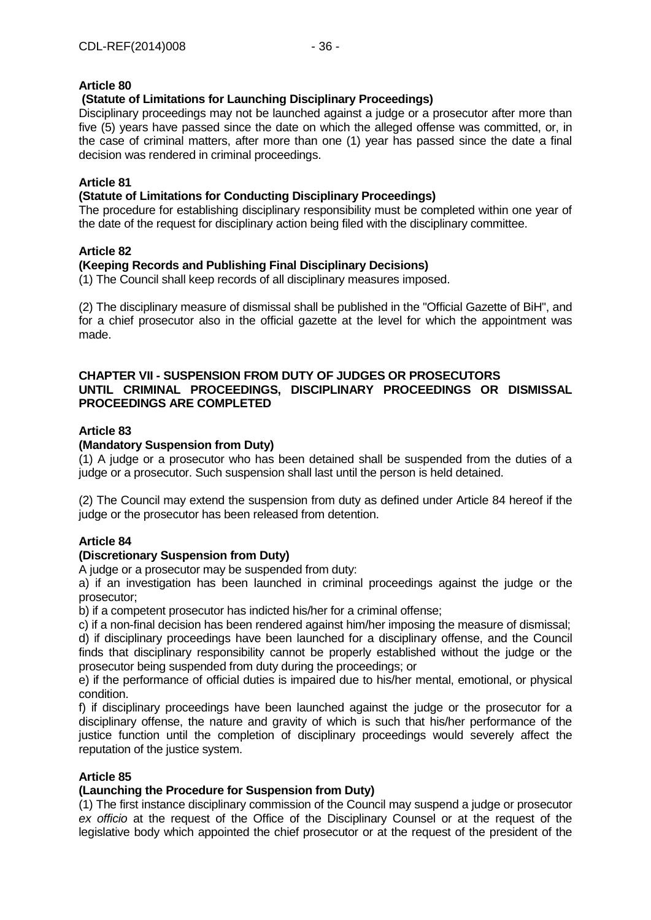# **(Statute of Limitations for Launching Disciplinary Proceedings)**

Disciplinary proceedings may not be launched against a judge or a prosecutor after more than five (5) years have passed since the date on which the alleged offense was committed, or, in the case of criminal matters, after more than one (1) year has passed since the date a final decision was rendered in criminal proceedings.

### **Article 81**

### **(Statute of Limitations for Conducting Disciplinary Proceedings)**

The procedure for establishing disciplinary responsibility must be completed within one year of the date of the request for disciplinary action being filed with the disciplinary committee.

### **Article 82**

### **(Keeping Records and Publishing Final Disciplinary Decisions)**

(1) The Council shall keep records of all disciplinary measures imposed.

(2) The disciplinary measure of dismissal shall be published in the "Official Gazette of BiH", and for a chief prosecutor also in the official gazette at the level for which the appointment was made.

### **CHAPTER VII - SUSPENSION FROM DUTY OF JUDGES OR PROSECUTORS UNTIL CRIMINAL PROCEEDINGS, DISCIPLINARY PROCEEDINGS OR DISMISSAL PROCEEDINGS ARE COMPLETED**

### **Article 83**

### **(Mandatory Suspension from Duty)**

(1) A judge or a prosecutor who has been detained shall be suspended from the duties of a judge or a prosecutor. Such suspension shall last until the person is held detained.

(2) The Council may extend the suspension from duty as defined under Article 84 hereof if the judge or the prosecutor has been released from detention.

### **Article 84**

### **(Discretionary Suspension from Duty)**

A judge or a prosecutor may be suspended from duty:

a) if an investigation has been launched in criminal proceedings against the judge or the prosecutor;

b) if a competent prosecutor has indicted his/her for a criminal offense;

c) if a non-final decision has been rendered against him/her imposing the measure of dismissal; d) if disciplinary proceedings have been launched for a disciplinary offense, and the Council finds that disciplinary responsibility cannot be properly established without the judge or the

prosecutor being suspended from duty during the proceedings; or

e) if the performance of official duties is impaired due to his/her mental, emotional, or physical condition.

f) if disciplinary proceedings have been launched against the judge or the prosecutor for a disciplinary offense, the nature and gravity of which is such that his/her performance of the justice function until the completion of disciplinary proceedings would severely affect the reputation of the justice system.

# **Article 85**

### **(Launching the Procedure for Suspension from Duty)**

(1) The first instance disciplinary commission of the Council may suspend a judge or prosecutor *ex officio* at the request of the Office of the Disciplinary Counsel or at the request of the legislative body which appointed the chief prosecutor or at the request of the president of the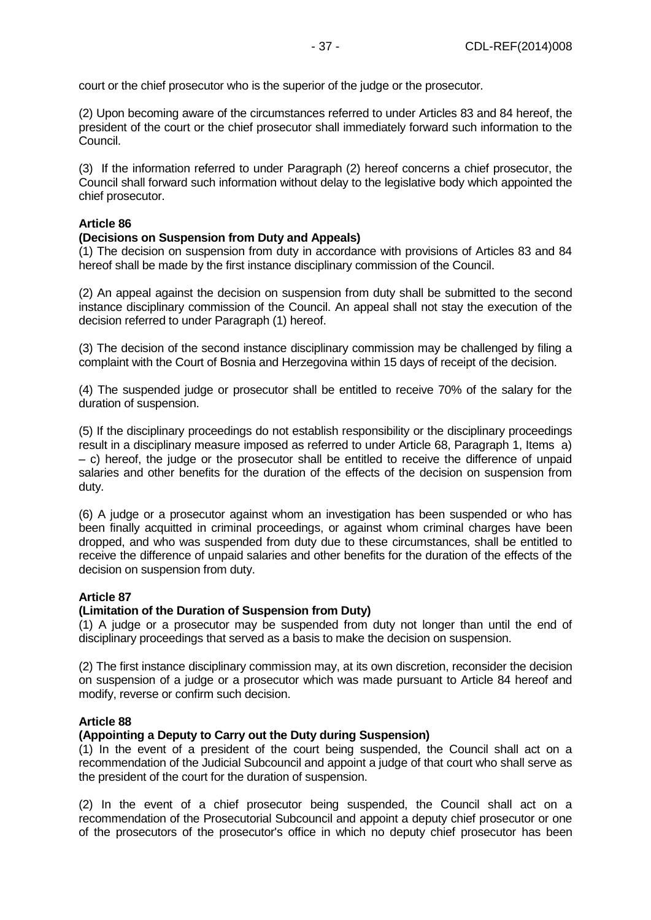court or the chief prosecutor who is the superior of the judge or the prosecutor.

(2) Upon becoming aware of the circumstances referred to under Articles 83 and 84 hereof, the president of the court or the chief prosecutor shall immediately forward such information to the Council.

(3) If the information referred to under Paragraph (2) hereof concerns a chief prosecutor, the Council shall forward such information without delay to the legislative body which appointed the chief prosecutor.

### **Article 86**

### **(Decisions on Suspension from Duty and Appeals)**

(1) The decision on suspension from duty in accordance with provisions of Articles 83 and 84 hereof shall be made by the first instance disciplinary commission of the Council.

(2) An appeal against the decision on suspension from duty shall be submitted to the second instance disciplinary commission of the Council. An appeal shall not stay the execution of the decision referred to under Paragraph (1) hereof.

(3) The decision of the second instance disciplinary commission may be challenged by filing a complaint with the Court of Bosnia and Herzegovina within 15 days of receipt of the decision.

(4) The suspended judge or prosecutor shall be entitled to receive 70% of the salary for the duration of suspension.

(5) If the disciplinary proceedings do not establish responsibility or the disciplinary proceedings result in a disciplinary measure imposed as referred to under Article 68, Paragraph 1, Items a) – c) hereof, the judge or the prosecutor shall be entitled to receive the difference of unpaid salaries and other benefits for the duration of the effects of the decision on suspension from duty.

(6) A judge or a prosecutor against whom an investigation has been suspended or who has been finally acquitted in criminal proceedings, or against whom criminal charges have been dropped, and who was suspended from duty due to these circumstances, shall be entitled to receive the difference of unpaid salaries and other benefits for the duration of the effects of the decision on suspension from duty.

### **Article 87**

### **(Limitation of the Duration of Suspension from Duty)**

(1) A judge or a prosecutor may be suspended from duty not longer than until the end of disciplinary proceedings that served as a basis to make the decision on suspension.

(2) The first instance disciplinary commission may, at its own discretion, reconsider the decision on suspension of a judge or a prosecutor which was made pursuant to Article 84 hereof and modify, reverse or confirm such decision.

### **Article 88**

### **(Appointing a Deputy to Carry out the Duty during Suspension)**

(1) In the event of a president of the court being suspended, the Council shall act on a recommendation of the Judicial Subcouncil and appoint a judge of that court who shall serve as the president of the court for the duration of suspension.

(2) In the event of a chief prosecutor being suspended, the Council shall act on a recommendation of the Prosecutorial Subcouncil and appoint a deputy chief prosecutor or one of the prosecutors of the prosecutor's office in which no deputy chief prosecutor has been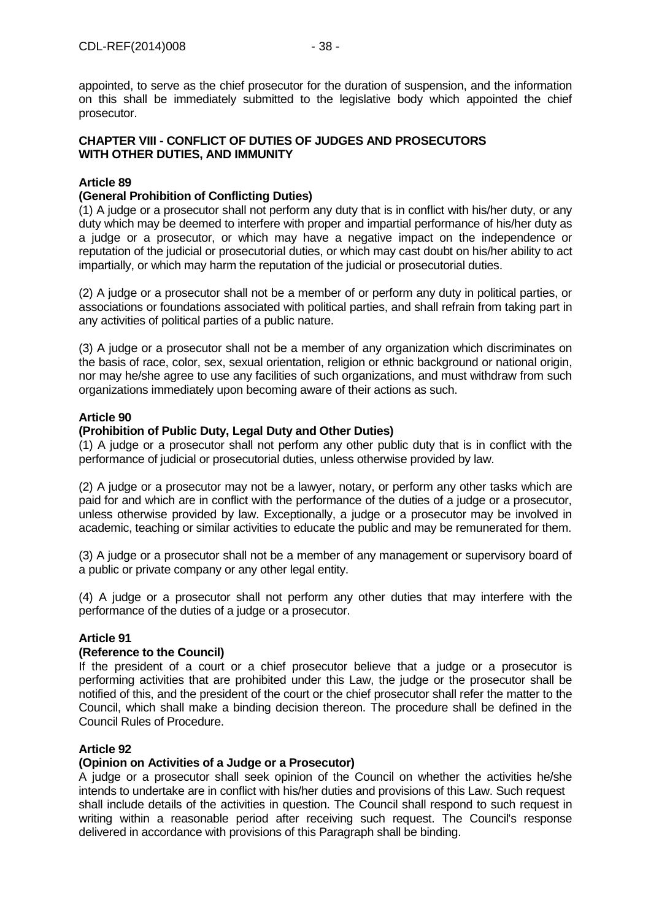appointed, to serve as the chief prosecutor for the duration of suspension, and the information on this shall be immediately submitted to the legislative body which appointed the chief prosecutor.

# **CHAPTER VIII - CONFLICT OF DUTIES OF JUDGES AND PROSECUTORS WITH OTHER DUTIES, AND IMMUNITY**

# **Article 89**

# **(General Prohibition of Conflicting Duties)**

(1) A judge or a prosecutor shall not perform any duty that is in conflict with his/her duty, or any duty which may be deemed to interfere with proper and impartial performance of his/her duty as a judge or a prosecutor, or which may have a negative impact on the independence or reputation of the judicial or prosecutorial duties, or which may cast doubt on his/her ability to act impartially, or which may harm the reputation of the judicial or prosecutorial duties.

(2) A judge or a prosecutor shall not be a member of or perform any duty in political parties, or associations or foundations associated with political parties, and shall refrain from taking part in any activities of political parties of a public nature.

(3) A judge or a prosecutor shall not be a member of any organization which discriminates on the basis of race, color, sex, sexual orientation, religion or ethnic background or national origin, nor may he/she agree to use any facilities of such organizations, and must withdraw from such organizations immediately upon becoming aware of their actions as such.

# **Article 90**

# **(Prohibition of Public Duty, Legal Duty and Other Duties)**

(1) A judge or a prosecutor shall not perform any other public duty that is in conflict with the performance of judicial or prosecutorial duties, unless otherwise provided by law.

(2) A judge or a prosecutor may not be a lawyer, notary, or perform any other tasks which are paid for and which are in conflict with the performance of the duties of a judge or a prosecutor, unless otherwise provided by law. Exceptionally, a judge or a prosecutor may be involved in academic, teaching or similar activities to educate the public and may be remunerated for them.

(3) A judge or a prosecutor shall not be a member of any management or supervisory board of a public or private company or any other legal entity.

(4) A judge or a prosecutor shall not perform any other duties that may interfere with the performance of the duties of a judge or a prosecutor.

# **Article 91**

### **(Reference to the Council)**

If the president of a court or a chief prosecutor believe that a judge or a prosecutor is performing activities that are prohibited under this Law, the judge or the prosecutor shall be notified of this, and the president of the court or the chief prosecutor shall refer the matter to the Council, which shall make a binding decision thereon. The procedure shall be defined in the Council Rules of Procedure.

# **Article 92**

# **(Opinion on Activities of a Judge or a Prosecutor)**

A judge or a prosecutor shall seek opinion of the Council on whether the activities he/she intends to undertake are in conflict with his/her duties and provisions of this Law. Such request shall include details of the activities in question. The Council shall respond to such request in writing within a reasonable period after receiving such request. The Council's response delivered in accordance with provisions of this Paragraph shall be binding.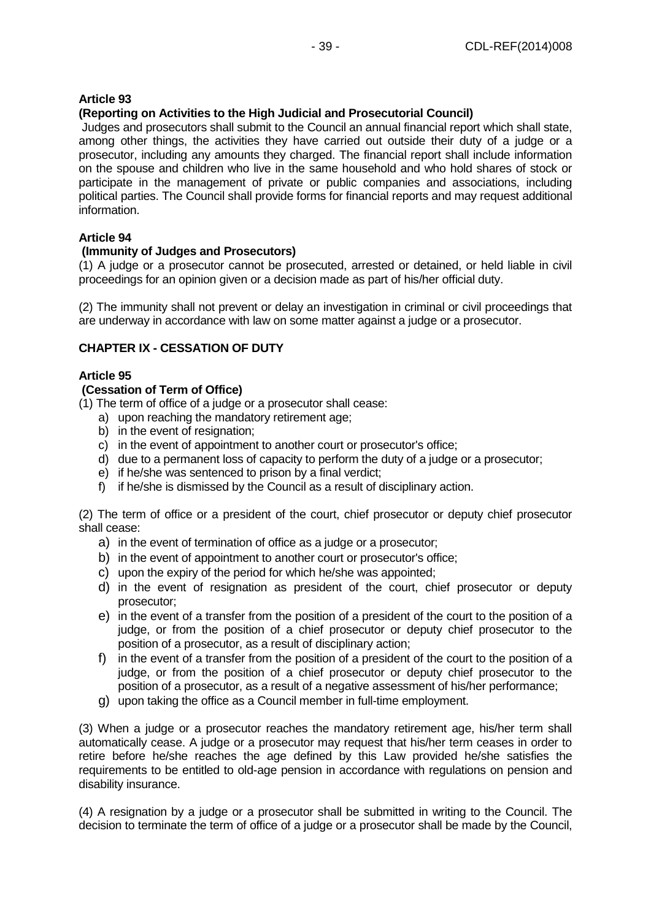# **(Reporting on Activities to the High Judicial and Prosecutorial Council)**

Judges and prosecutors shall submit to the Council an annual financial report which shall state, among other things, the activities they have carried out outside their duty of a judge or a prosecutor, including any amounts they charged. The financial report shall include information on the spouse and children who live in the same household and who hold shares of stock or participate in the management of private or public companies and associations, including political parties. The Council shall provide forms for financial reports and may request additional information.

### **Article 94**

# **(Immunity of Judges and Prosecutors)**

(1) A judge or a prosecutor cannot be prosecuted, arrested or detained, or held liable in civil proceedings for an opinion given or a decision made as part of his/her official duty.

(2) The immunity shall not prevent or delay an investigation in criminal or civil proceedings that are underway in accordance with law on some matter against a judge or a prosecutor.

### **CHAPTER IX - CESSATION OF DUTY**

### **Article 95**

### **(Cessation of Term of Office)**

(1) The term of office of a judge or a prosecutor shall cease:

- a) upon reaching the mandatory retirement age;
- b) in the event of resignation;
- c) in the event of appointment to another court or prosecutor's office;
- d) due to a permanent loss of capacity to perform the duty of a judge or a prosecutor;
- e) if he/she was sentenced to prison by a final verdict;
- f) if he/she is dismissed by the Council as a result of disciplinary action.

(2) The term of office or a president of the court, chief prosecutor or deputy chief prosecutor shall cease:

- a) in the event of termination of office as a judge or a prosecutor;
- b) in the event of appointment to another court or prosecutor's office;
- c) upon the expiry of the period for which he/she was appointed;
- d) in the event of resignation as president of the court, chief prosecutor or deputy prosecutor;
- e) in the event of a transfer from the position of a president of the court to the position of a judge, or from the position of a chief prosecutor or deputy chief prosecutor to the position of a prosecutor, as a result of disciplinary action;
- f) in the event of a transfer from the position of a president of the court to the position of a judge, or from the position of a chief prosecutor or deputy chief prosecutor to the position of a prosecutor, as a result of a negative assessment of his/her performance;
- g) upon taking the office as a Council member in full-time employment.

(3) When a judge or a prosecutor reaches the mandatory retirement age, his/her term shall automatically cease. A judge or a prosecutor may request that his/her term ceases in order to retire before he/she reaches the age defined by this Law provided he/she satisfies the requirements to be entitled to old-age pension in accordance with regulations on pension and disability insurance.

(4) A resignation by a judge or a prosecutor shall be submitted in writing to the Council. The decision to terminate the term of office of a judge or a prosecutor shall be made by the Council,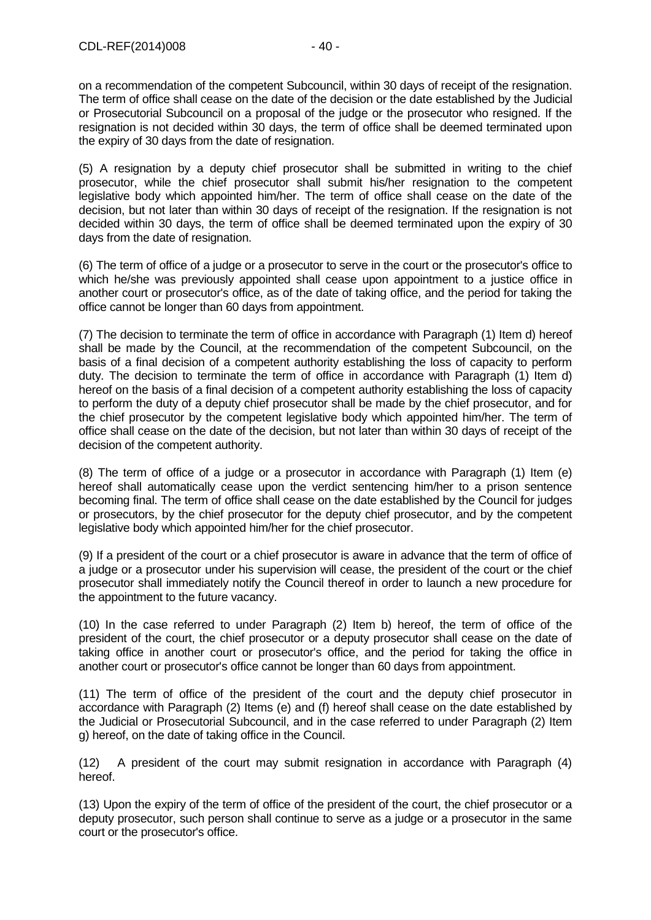on a recommendation of the competent Subcouncil, within 30 days of receipt of the resignation. The term of office shall cease on the date of the decision or the date established by the Judicial or Prosecutorial Subcouncil on a proposal of the judge or the prosecutor who resigned. If the resignation is not decided within 30 days, the term of office shall be deemed terminated upon the expiry of 30 days from the date of resignation.

(5) A resignation by a deputy chief prosecutor shall be submitted in writing to the chief prosecutor, while the chief prosecutor shall submit his/her resignation to the competent legislative body which appointed him/her. The term of office shall cease on the date of the decision, but not later than within 30 days of receipt of the resignation. If the resignation is not decided within 30 days, the term of office shall be deemed terminated upon the expiry of 30 days from the date of resignation.

(6) The term of office of a judge or a prosecutor to serve in the court or the prosecutor's office to which he/she was previously appointed shall cease upon appointment to a justice office in another court or prosecutor's office, as of the date of taking office, and the period for taking the office cannot be longer than 60 days from appointment.

(7) The decision to terminate the term of office in accordance with Paragraph (1) Item d) hereof shall be made by the Council, at the recommendation of the competent Subcouncil, on the basis of a final decision of a competent authority establishing the loss of capacity to perform duty. The decision to terminate the term of office in accordance with Paragraph (1) Item d) hereof on the basis of a final decision of a competent authority establishing the loss of capacity to perform the duty of a deputy chief prosecutor shall be made by the chief prosecutor, and for the chief prosecutor by the competent legislative body which appointed him/her. The term of office shall cease on the date of the decision, but not later than within 30 days of receipt of the decision of the competent authority.

(8) The term of office of a judge or a prosecutor in accordance with Paragraph (1) Item (e) hereof shall automatically cease upon the verdict sentencing him/her to a prison sentence becoming final. The term of office shall cease on the date established by the Council for judges or prosecutors, by the chief prosecutor for the deputy chief prosecutor, and by the competent legislative body which appointed him/her for the chief prosecutor.

(9) If a president of the court or a chief prosecutor is aware in advance that the term of office of a judge or a prosecutor under his supervision will cease, the president of the court or the chief prosecutor shall immediately notify the Council thereof in order to launch a new procedure for the appointment to the future vacancy.

(10) In the case referred to under Paragraph (2) Item b) hereof, the term of office of the president of the court, the chief prosecutor or a deputy prosecutor shall cease on the date of taking office in another court or prosecutor's office, and the period for taking the office in another court or prosecutor's office cannot be longer than 60 days from appointment.

(11) The term of office of the president of the court and the deputy chief prosecutor in accordance with Paragraph (2) Items (e) and (f) hereof shall cease on the date established by the Judicial or Prosecutorial Subcouncil, and in the case referred to under Paragraph (2) Item g) hereof, on the date of taking office in the Council.

(12) A president of the court may submit resignation in accordance with Paragraph (4) hereof.

(13) Upon the expiry of the term of office of the president of the court, the chief prosecutor or a deputy prosecutor, such person shall continue to serve as a judge or a prosecutor in the same court or the prosecutor's office.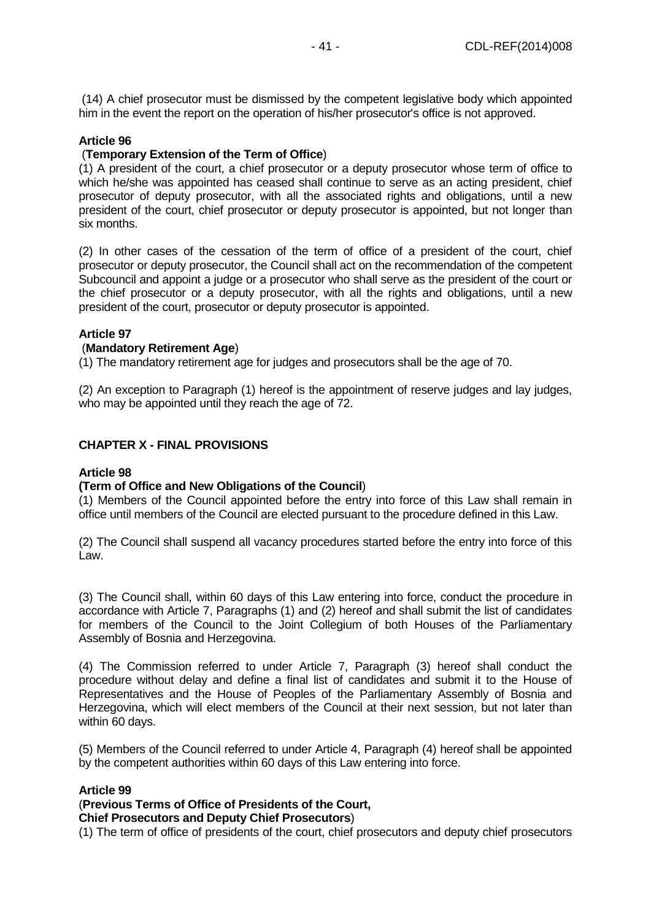(14) A chief prosecutor must be dismissed by the competent legislative body which appointed him in the event the report on the operation of his/her prosecutor's office is not approved.

### **Article 96**

### (**Temporary Extension of the Term of Office**)

(1) A president of the court, a chief prosecutor or a deputy prosecutor whose term of office to which he/she was appointed has ceased shall continue to serve as an acting president, chief prosecutor of deputy prosecutor, with all the associated rights and obligations, until a new president of the court, chief prosecutor or deputy prosecutor is appointed, but not longer than six months.

(2) In other cases of the cessation of the term of office of a president of the court, chief prosecutor or deputy prosecutor, the Council shall act on the recommendation of the competent Subcouncil and appoint a judge or a prosecutor who shall serve as the president of the court or the chief prosecutor or a deputy prosecutor, with all the rights and obligations, until a new president of the court, prosecutor or deputy prosecutor is appointed.

### **Article 97**

#### (**Mandatory Retirement Age**)

(1) The mandatory retirement age for judges and prosecutors shall be the age of 70.

(2) An exception to Paragraph (1) hereof is the appointment of reserve judges and lay judges, who may be appointed until they reach the age of 72.

### **CHAPTER X - FINAL PROVISIONS**

#### **Article 98**

### **(Term of Office and New Obligations of the Council**)

(1) Members of the Council appointed before the entry into force of this Law shall remain in office until members of the Council are elected pursuant to the procedure defined in this Law.

(2) The Council shall suspend all vacancy procedures started before the entry into force of this Law.

(3) The Council shall, within 60 days of this Law entering into force, conduct the procedure in accordance with Article 7, Paragraphs (1) and (2) hereof and shall submit the list of candidates for members of the Council to the Joint Collegium of both Houses of the Parliamentary Assembly of Bosnia and Herzegovina.

(4) The Commission referred to under Article 7, Paragraph (3) hereof shall conduct the procedure without delay and define a final list of candidates and submit it to the House of Representatives and the House of Peoples of the Parliamentary Assembly of Bosnia and Herzegovina, which will elect members of the Council at their next session, but not later than within 60 days.

(5) Members of the Council referred to under Article 4, Paragraph (4) hereof shall be appointed by the competent authorities within 60 days of this Law entering into force.

### **Article 99**

# (**Previous Terms of Office of Presidents of the Court,**

# **Chief Prosecutors and Deputy Chief Prosecutors**)

(1) The term of office of presidents of the court, chief prosecutors and deputy chief prosecutors